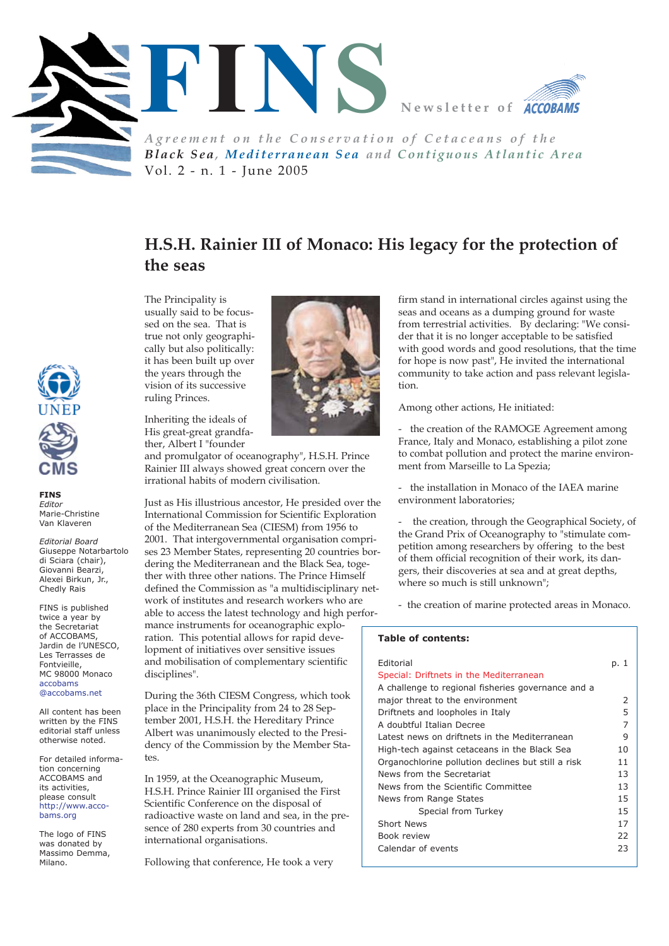

*Black Sea, Mediterranean Sea and Contiguous Atlantic Area* Vol. 2 - n. 1 - June 2005

## **H.S.H. Rainier III of Monaco: His legacy for the protection of the seas**

The Principality is usually said to be focussed on the sea. That is true not only geographically but also politically: it has been built up over the years through the vision of its successive ruling Princes.

Inheriting the ideals of His great-great grandfather, Albert I "founder

and promulgator of oceanography", H.S.H. Prince Rainier III always showed great concern over the irrational habits of modern civilisation.

Just as His illustrious ancestor, He presided over the International Commission for Scientific Exploration of the Mediterranean Sea (CIESM) from 1956 to 2001. That intergovernmental organisation comprises 23 Member States, representing 20 countries bordering the Mediterranean and the Black Sea, together with three other nations. The Prince Himself defined the Commission as "a multidisciplinary network of institutes and research workers who are able to access the latest technology and high performance instruments for oceanographic exploration. This potential allows for rapid development of initiatives over sensitive issues and mobilisation of complementary scientific disciplines".

During the 36th CIESM Congress, which took place in the Principality from 24 to 28 September 2001, H.S.H. the Hereditary Prince Albert was unanimously elected to the Presidency of the Commission by the Member States.

In 1959, at the Oceanographic Museum, H.S.H. Prince Rainier III organised the First Scientific Conference on the disposal of radioactive waste on land and sea, in the presence of 280 experts from 30 countries and international organisations.

Following that conference, He took a very

firm stand in international circles against using the seas and oceans as a dumping ground for waste from terrestrial activities. By declaring: "We consider that it is no longer acceptable to be satisfied with good words and good resolutions, that the time for hope is now past", He invited the international community to take action and pass relevant legislation.

Among other actions, He initiated:

- the creation of the RAMOGE Agreement among France, Italy and Monaco, establishing a pilot zone to combat pollution and protect the marine environment from Marseille to La Spezia;

- the installation in Monaco of the IAEA marine environment laboratories;

the creation, through the Geographical Society, of the Grand Prix of Oceanography to "stimulate competition among researchers by offering to the best of them official recognition of their work, its dangers, their discoveries at sea and at great depths, where so much is still unknown";

- the creation of marine protected areas in Monaco.

### **Table of contents:**

| Editorial<br>Special: Driftnets in the Mediterranean<br>A challenge to regional fisheries governance and a | p. 1 |
|------------------------------------------------------------------------------------------------------------|------|
| major threat to the environment                                                                            | 2    |
| Driftnets and loopholes in Italy                                                                           | 5    |
| A doubtful Italian Decree                                                                                  | 7    |
| Latest news on driftnets in the Mediterranean                                                              | 9    |
| High-tech against cetaceans in the Black Sea                                                               | 10   |
| Organochlorine pollution declines but still a risk                                                         | 11   |
| News from the Secretariat                                                                                  | 13   |
| News from the Scientific Committee                                                                         | 13   |
| News from Range States                                                                                     | 15   |
| Special from Turkey                                                                                        | 15   |
| Short News                                                                                                 | 17   |
| Book review                                                                                                | 22   |
| Calendar of events                                                                                         | 23   |



**FINS** *Editor* Marie-Christine Van Klaveren

*Editorial Board* Giuseppe Notarbartolo di Sciara (chair), Giovanni Bearzi, Alexei Birkun, Jr., Chedly Rais

FINS is published twice a year by the Secretariat of ACCOBAMS, Jardin de l'UNESCO, Les Terrasses de Fontvieille, MC 98000 Monaco accobams @accobams.net

All content has been written by the FINS editorial staff unless otherwise noted.

For detailed information concerning ACCOBAMS and its activities, please consult http://www.accobams.org

The logo of FINS was donated by Massimo Demma, Milano.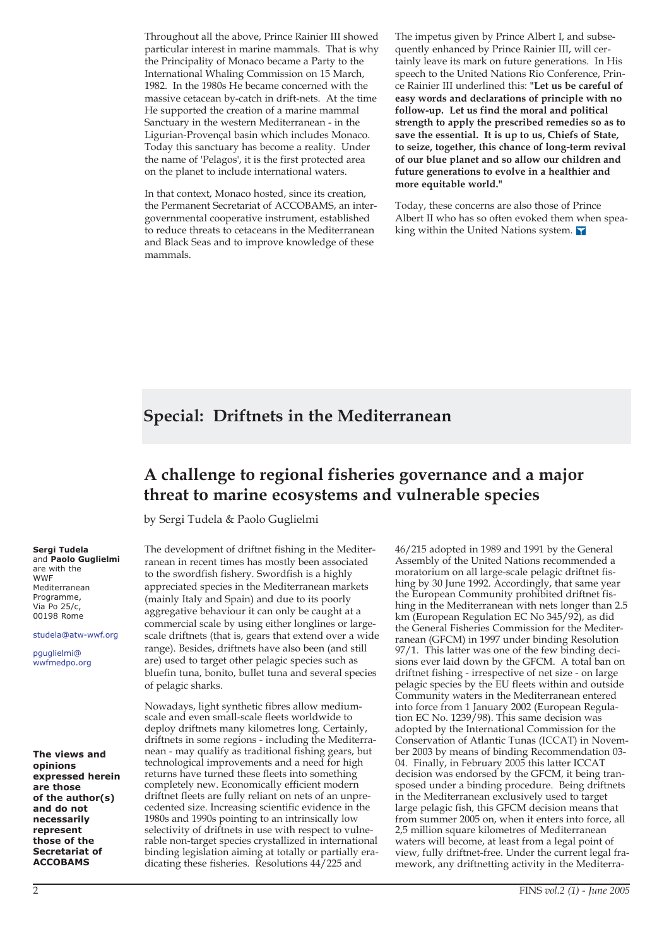Throughout all the above, Prince Rainier III showed particular interest in marine mammals. That is why the Principality of Monaco became a Party to the International Whaling Commission on 15 March, 1982. In the 1980s He became concerned with the massive cetacean by-catch in drift-nets. At the time He supported the creation of a marine mammal Sanctuary in the western Mediterranean - in the Ligurian-Provençal basin which includes Monaco. Today this sanctuary has become a reality. Under the name of 'Pelagos', it is the first protected area on the planet to include international waters.

In that context, Monaco hosted, since its creation, the Permanent Secretariat of ACCOBAMS, an intergovernmental cooperative instrument, established to reduce threats to cetaceans in the Mediterranean and Black Seas and to improve knowledge of these mammals.

The impetus given by Prince Albert I, and subsequently enhanced by Prince Rainier III, will certainly leave its mark on future generations. In His speech to the United Nations Rio Conference, Prince Rainier III underlined this: **"Let us be careful of easy words and declarations of principle with no follow-up. Let us find the moral and political strength to apply the prescribed remedies so as to save the essential. It is up to us, Chiefs of State, to seize, together, this chance of long-term revival of our blue planet and so allow our children and future generations to evolve in a healthier and more equitable world."**

Today, these concerns are also those of Prince Albert II who has so often evoked them when speaking within the United Nations system.  $\blacksquare$ 

## **Special: Driftnets in the Mediterranean**

## **A challenge to regional fisheries governance and a major threat to marine ecosystems and vulnerable species**

by Sergi Tudela & Paolo Guglielmi

The development of driftnet fishing in the Mediterranean in recent times has mostly been associated to the swordfish fishery. Swordfish is a highly appreciated species in the Mediterranean markets (mainly Italy and Spain) and due to its poorly aggregative behaviour it can only be caught at a commercial scale by using either longlines or largescale driftnets (that is, gears that extend over a wide range). Besides, driftnets have also been (and still are) used to target other pelagic species such as bluefin tuna, bonito, bullet tuna and several species of pelagic sharks.

Nowadays, light synthetic fibres allow mediumscale and even small-scale fleets worldwide to deploy driftnets many kilometres long. Certainly, driftnets in some regions - including the Mediterranean - may qualify as traditional fishing gears, but technological improvements and a need for high returns have turned these fleets into something completely new. Economically efficient modern driftnet fleets are fully reliant on nets of an unprecedented size. Increasing scientific evidence in the 1980s and 1990s pointing to an intrinsically low selectivity of driftnets in use with respect to vulnerable non-target species crystallized in international binding legislation aiming at totally or partially eradicating these fisheries. Resolutions 44/225 and

46/215 adopted in 1989 and 1991 by the General Assembly of the United Nations recommended a moratorium on all large-scale pelagic driftnet fishing by 30 June 1992. Accordingly, that same year the European Community prohibited driftnet fishing in the Mediterranean with nets longer than 2.5 km (European Regulation EC No 345/92), as did the General Fisheries Commission for the Mediterranean (GFCM) in 1997 under binding Resolution 97/1. This latter was one of the few binding decisions ever laid down by the GFCM. A total ban on driftnet fishing - irrespective of net size - on large pelagic species by the EU fleets within and outside Community waters in the Mediterranean entered into force from 1 January 2002 (European Regulation EC No. 1239/98). This same decision was adopted by the International Commission for the Conservation of Atlantic Tunas (ICCAT) in November 2003 by means of binding Recommendation 03- 04. Finally, in February 2005 this latter ICCAT decision was endorsed by the GFCM, it being transposed under a binding procedure. Being driftnets in the Mediterranean exclusively used to target large pelagic fish, this GFCM decision means that from summer 2005 on, when it enters into force, all 2,5 million square kilometres of Mediterranean waters will become, at least from a legal point of view, fully driftnet-free. Under the current legal framework, any driftnetting activity in the Mediterra-

## 2 FINS *vol.2 (1) - June 2005*

#### **Sergi Tudela** and **Paolo Guglielmi**

are with the **WWF** Mediterranean Programme, Via Po  $25/c$ , 00198 Rome

studela@atw-wwf.org

pguglielmi@ wwfmedpo.org

**The views and opinions expressed herein are those of the author(s) and do not necessarily represent those of the Secretariat of ACCOBAMS**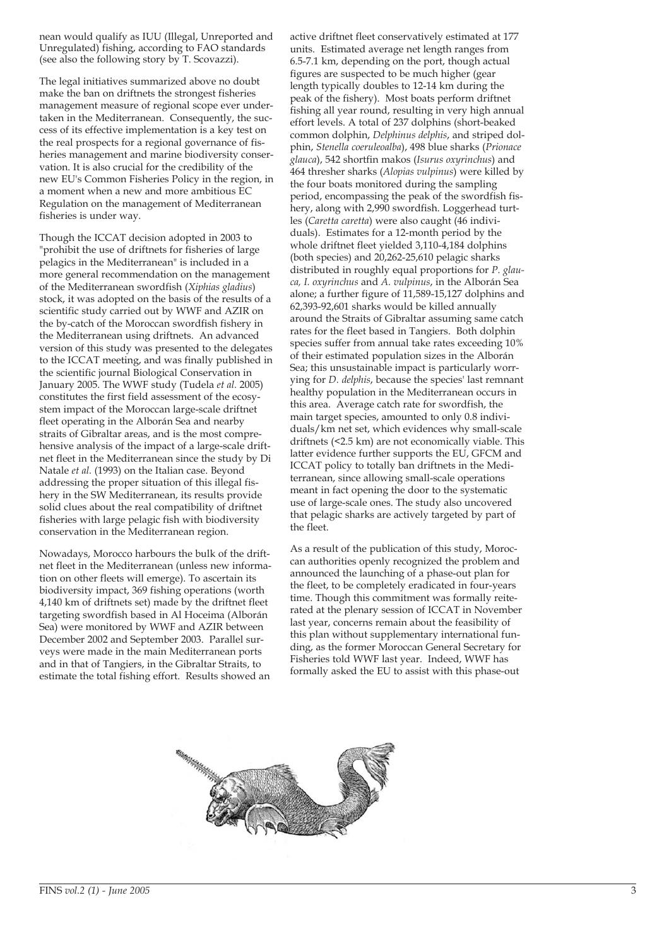nean would qualify as IUU (Illegal, Unreported and Unregulated) fishing, according to FAO standards (see also the following story by T. Scovazzi).

The legal initiatives summarized above no doubt make the ban on driftnets the strongest fisheries management measure of regional scope ever undertaken in the Mediterranean. Consequently, the success of its effective implementation is a key test on the real prospects for a regional governance of fisheries management and marine biodiversity conservation. It is also crucial for the credibility of the new EU's Common Fisheries Policy in the region, in a moment when a new and more ambitious EC Regulation on the management of Mediterranean fisheries is under way.

Though the ICCAT decision adopted in 2003 to "prohibit the use of driftnets for fisheries of large pelagics in the Mediterranean" is included in a more general recommendation on the management of the Mediterranean swordfish (*Xiphias gladius*) stock, it was adopted on the basis of the results of a scientific study carried out by WWF and AZIR on the by-catch of the Moroccan swordfish fishery in the Mediterranean using driftnets. An advanced version of this study was presented to the delegates to the ICCAT meeting, and was finally published in the scientific journal Biological Conservation in January 2005. The WWF study (Tudela *et al.* 2005) constitutes the first field assessment of the ecosystem impact of the Moroccan large-scale driftnet fleet operating in the Alborán Sea and nearby straits of Gibraltar areas, and is the most comprehensive analysis of the impact of a large-scale driftnet fleet in the Mediterranean since the study by Di Natale *et al.* (1993) on the Italian case. Beyond addressing the proper situation of this illegal fishery in the SW Mediterranean, its results provide solid clues about the real compatibility of driftnet fisheries with large pelagic fish with biodiversity conservation in the Mediterranean region.

Nowadays, Morocco harbours the bulk of the driftnet fleet in the Mediterranean (unless new information on other fleets will emerge). To ascertain its biodiversity impact, 369 fishing operations (worth 4,140 km of driftnets set) made by the driftnet fleet targeting swordfish based in Al Hoceima (Alborán Sea) were monitored by WWF and AZIR between December 2002 and September 2003. Parallel surveys were made in the main Mediterranean ports and in that of Tangiers, in the Gibraltar Straits, to estimate the total fishing effort. Results showed an

active driftnet fleet conservatively estimated at 177 units. Estimated average net length ranges from 6.5-7.1 km, depending on the port, though actual figures are suspected to be much higher (gear length typically doubles to 12-14 km during the peak of the fishery). Most boats perform driftnet fishing all year round, resulting in very high annual effort levels. A total of 237 dolphins (short-beaked common dolphin, *Delphinus delphis*, and striped dolphin, *Stenella coeruleoalba*), 498 blue sharks (*Prionace glauca*), 542 shortfin makos (*Isurus oxyrinchus*) and 464 thresher sharks (*Alopias vulpinus*) were killed by the four boats monitored during the sampling period, encompassing the peak of the swordfish fishery, along with 2,990 swordfish. Loggerhead turtles (*Caretta caretta*) were also caught (46 individuals). Estimates for a 12-month period by the whole driftnet fleet yielded 3,110-4,184 dolphins (both species) and 20,262-25,610 pelagic sharks distributed in roughly equal proportions for *P. glauca, I. oxyrinchus* and *A. vulpinus*, in the Alborán Sea alone; a further figure of 11,589-15,127 dolphins and 62,393-92,601 sharks would be killed annually around the Straits of Gibraltar assuming same catch rates for the fleet based in Tangiers. Both dolphin species suffer from annual take rates exceeding 10% of their estimated population sizes in the Alborán Sea; this unsustainable impact is particularly worrying for *D. delphis*, because the species' last remnant healthy population in the Mediterranean occurs in this area. Average catch rate for swordfish, the main target species, amounted to only 0.8 individuals/km net set, which evidences why small-scale driftnets (<2.5 km) are not economically viable. This latter evidence further supports the EU, GFCM and ICCAT policy to totally ban driftnets in the Mediterranean, since allowing small-scale operations meant in fact opening the door to the systematic use of large-scale ones. The study also uncovered that pelagic sharks are actively targeted by part of the fleet.

As a result of the publication of this study, Moroccan authorities openly recognized the problem and announced the launching of a phase-out plan for the fleet, to be completely eradicated in four-years time. Though this commitment was formally reiterated at the plenary session of ICCAT in November last year, concerns remain about the feasibility of this plan without supplementary international funding, as the former Moroccan General Secretary for Fisheries told WWF last year. Indeed, WWF has formally asked the EU to assist with this phase-out

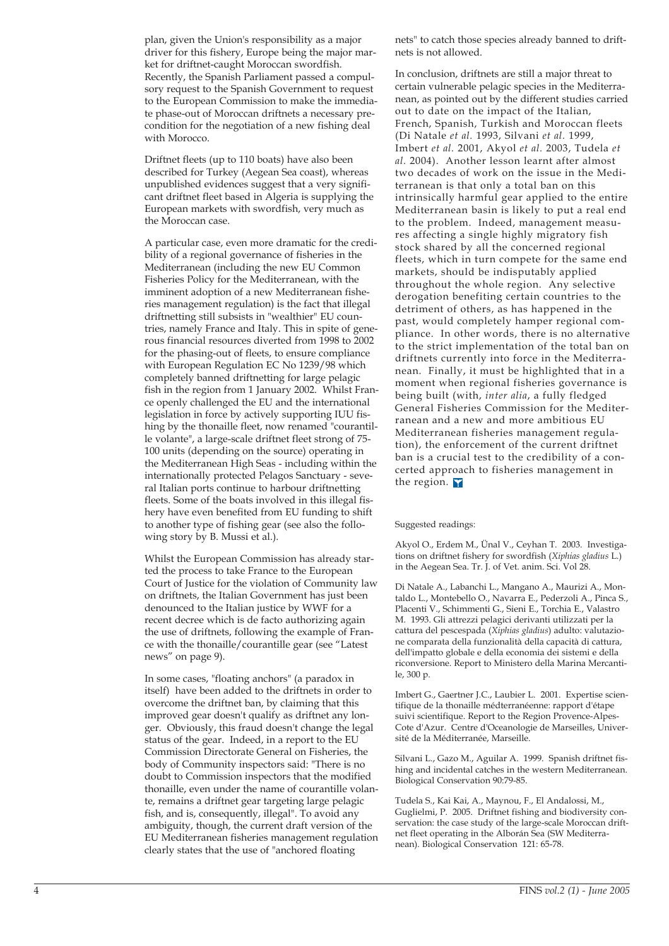plan, given the Union's responsibility as a major driver for this fishery, Europe being the major market for driftnet-caught Moroccan swordfish. Recently, the Spanish Parliament passed a compulsory request to the Spanish Government to request to the European Commission to make the immediate phase-out of Moroccan driftnets a necessary precondition for the negotiation of a new fishing deal with Morocco.

Driftnet fleets (up to 110 boats) have also been described for Turkey (Aegean Sea coast), whereas unpublished evidences suggest that a very significant driftnet fleet based in Algeria is supplying the European markets with swordfish, very much as the Moroccan case.

A particular case, even more dramatic for the credibility of a regional governance of fisheries in the Mediterranean (including the new EU Common Fisheries Policy for the Mediterranean, with the imminent adoption of a new Mediterranean fisheries management regulation) is the fact that illegal driftnetting still subsists in "wealthier" EU countries, namely France and Italy. This in spite of generous financial resources diverted from 1998 to 2002 for the phasing-out of fleets, to ensure compliance with European Regulation EC No 1239/98 which completely banned driftnetting for large pelagic fish in the region from 1 January 2002. Whilst France openly challenged the EU and the international legislation in force by actively supporting IUU fishing by the thonaille fleet, now renamed "courantille volante", a large-scale driftnet fleet strong of 75- 100 units (depending on the source) operating in the Mediterranean High Seas - including within the internationally protected Pelagos Sanctuary - several Italian ports continue to harbour driftnetting fleets. Some of the boats involved in this illegal fishery have even benefited from EU funding to shift to another type of fishing gear (see also the following story by B. Mussi et al.).

Whilst the European Commission has already started the process to take France to the European Court of Justice for the violation of Community law on driftnets, the Italian Government has just been denounced to the Italian justice by WWF for a recent decree which is de facto authorizing again the use of driftnets, following the example of France with the thonaille/courantille gear (see "Latest news" on page 9).

In some cases, "floating anchors" (a paradox in itself) have been added to the driftnets in order to overcome the driftnet ban, by claiming that this improved gear doesn't qualify as driftnet any longer. Obviously, this fraud doesn't change the legal status of the gear. Indeed, in a report to the EU Commission Directorate General on Fisheries, the body of Community inspectors said: "There is no doubt to Commission inspectors that the modified thonaille, even under the name of courantille volante, remains a driftnet gear targeting large pelagic fish, and is, consequently, illegal". To avoid any ambiguity, though, the current draft version of the EU Mediterranean fisheries management regulation clearly states that the use of "anchored floating

nets" to catch those species already banned to driftnets is not allowed.

In conclusion, driftnets are still a major threat to certain vulnerable pelagic species in the Mediterranean, as pointed out by the different studies carried out to date on the impact of the Italian, French, Spanish, Turkish and Moroccan fleets (Di Natale *et al.* 1993, Silvani *et al.* 1999, Imbert *et al.* 2001, Akyol *et al.* 2003, Tudela *et al.* 2004). Another lesson learnt after almost two decades of work on the issue in the Mediterranean is that only a total ban on this intrinsically harmful gear applied to the entire Mediterranean basin is likely to put a real end to the problem. Indeed, management measures affecting a single highly migratory fish stock shared by all the concerned regional fleets, which in turn compete for the same end markets, should be indisputably applied throughout the whole region. Any selective derogation benefiting certain countries to the detriment of others, as has happened in the past, would completely hamper regional compliance. In other words, there is no alternative to the strict implementation of the total ban on driftnets currently into force in the Mediterranean. Finally, it must be highlighted that in a moment when regional fisheries governance is being built (with, *inter alia*, a fully fledged General Fisheries Commission for the Mediterranean and a new and more ambitious EU Mediterranean fisheries management regulation), the enforcement of the current driftnet ban is a crucial test to the credibility of a concerted approach to fisheries management in the region.

### Suggested readings:

Akyol O., Erdem M., Ünal V., Ceyhan T. 2003. Investigations on driftnet fishery for swordfish (*Xiphias gladius* L.) in the Aegean Sea. Tr. J. of Vet. anim. Sci. Vol 28.

Di Natale A., Labanchi L., Mangano A., Maurizi A., Montaldo L., Montebello O., Navarra E., Pederzoli A., Pinca S., Placenti V., Schimmenti G., Sieni E., Torchia E., Valastro M. 1993. Gli attrezzi pelagici derivanti utilizzati per la cattura del pescespada (*Xiphias gladius*) adulto: valutazione comparata della funzionalità della capacità di cattura, dell'impatto globale e della economia dei sistemi e della riconversione. Report to Ministero della Marina Mercantile, 300 p.

Imbert G., Gaertner J.C., Laubier L. 2001. Expertise scientifique de la thonaille médterranéenne: rapport d'étape suivi scientifique. Report to the Region Provence-Alpes-Cote d'Azur. Centre d'Oceanologie de Marseilles, Université de la Méditerranée, Marseille.

Silvani L., Gazo M., Aguilar A. 1999. Spanish driftnet fishing and incidental catches in the western Mediterranean. Biological Conservation 90:79-85.

Tudela S., Kai Kai, A., Maynou, F., El Andalossi, M., Guglielmi, P. 2005. Driftnet fishing and biodiversity conservation: the case study of the large-scale Moroccan driftnet fleet operating in the Alborán Sea (SW Mediterranean). Biological Conservation 121: 65-78.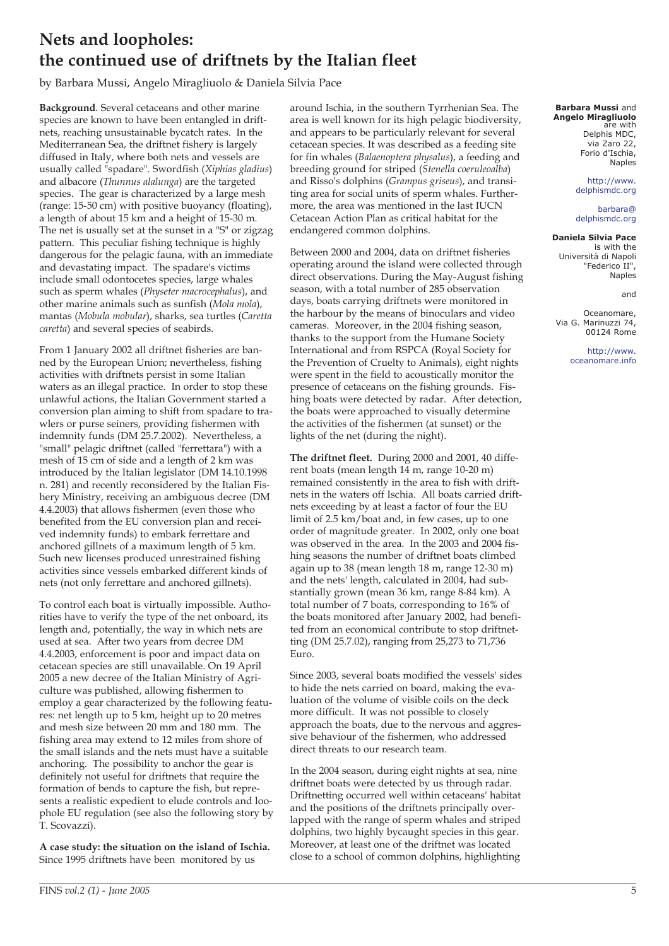# **Nets and loopholes: the continued use of driftnets by the Italian fleet**

by Barbara Mussi, Angelo Miragliuolo & Daniela Silvia Pace

**Background**. Several cetaceans and other marine species are known to have been entangled in driftnets, reaching unsustainable bycatch rates. In the Mediterranean Sea, the driftnet fishery is largely diffused in Italy, where both nets and vessels are usually called "spadare". Swordfish (*Xiphias gladius*) and albacore (*Thunnus alalunga*) are the targeted species. The gear is characterized by a large mesh (range: 15-50 cm) with positive buoyancy (floating), a length of about 15 km and a height of 15-30 m. The net is usually set at the sunset in a "S" or zigzag pattern. This peculiar fishing technique is highly dangerous for the pelagic fauna, with an immediate and devastating impact. The spadare's victims include small odontocetes species, large whales such as sperm whales (*Physeter macrocephalus*), and other marine animals such as sunfish (*Mola mola*), mantas (*Mobula mobular*), sharks, sea turtles (*Caretta caretta*) and several species of seabirds.

From 1 January 2002 all driftnet fisheries are banned by the European Union; nevertheless, fishing activities with driftnets persist in some Italian waters as an illegal practice. In order to stop these unlawful actions, the Italian Government started a conversion plan aiming to shift from spadare to trawlers or purse seiners, providing fishermen with indemnity funds (DM 25.7.2002). Nevertheless, a "small" pelagic driftnet (called "ferrettara") with a mesh of 15 cm of side and a length of 2 km was introduced by the Italian legislator (DM 14.10.1998 n. 281) and recently reconsidered by the Italian Fishery Ministry, receiving an ambiguous decree (DM 4.4.2003) that allows fishermen (even those who benefited from the EU conversion plan and received indemnity funds) to embark ferrettare and anchored gillnets of a maximum length of 5 km. Such new licenses produced unrestrained fishing activities since vessels embarked different kinds of nets (not only ferrettare and anchored gillnets).

To control each boat is virtually impossible. Authorities have to verify the type of the net onboard, its length and, potentially, the way in which nets are used at sea. After two years from decree DM 4.4.2003, enforcement is poor and impact data on cetacean species are still unavailable. On 19 April 2005 a new decree of the Italian Ministry of Agriculture was published, allowing fishermen to employ a gear characterized by the following features: net length up to 5 km, height up to 20 metres and mesh size between 20 mm and 180 mm. The fishing area may extend to 12 miles from shore of the small islands and the nets must have a suitable anchoring. The possibility to anchor the gear is definitely not useful for driftnets that require the formation of bends to capture the fish, but represents a realistic expedient to elude controls and loophole EU regulation (see also the following story by T. Scovazzi).

**A case study: the situation on the island of Ischia.** Since 1995 driftnets have been monitored by us

around Ischia, in the southern Tyrrhenian Sea. The area is well known for its high pelagic biodiversity, and appears to be particularly relevant for several cetacean species. It was described as a feeding site for fin whales (*Balaenoptera physalus*), a feeding and breeding ground for striped (*Stenella coeruleoalba*) and Risso's dolphins (*Grampus griseus*), and transiting area for social units of sperm whales. Furthermore, the area was mentioned in the last IUCN Cetacean Action Plan as critical habitat for the endangered common dolphins.

Between 2000 and 2004, data on driftnet fisheries operating around the island were collected through direct observations. During the May-August fishing season, with a total number of 285 observation days, boats carrying driftnets were monitored in the harbour by the means of binoculars and video cameras. Moreover, in the 2004 fishing season, thanks to the support from the Humane Society International and from RSPCA (Royal Society for the Prevention of Cruelty to Animals), eight nights were spent in the field to acoustically monitor the presence of cetaceans on the fishing grounds. Fishing boats were detected by radar. After detection, the boats were approached to visually determine the activities of the fishermen (at sunset) or the lights of the net (during the night).

**The driftnet fleet.** During 2000 and 2001, 40 different boats (mean length 14 m, range 10-20 m) remained consistently in the area to fish with driftnets in the waters off Ischia. All boats carried driftnets exceeding by at least a factor of four the EU limit of 2.5 km/boat and, in few cases, up to one order of magnitude greater. In 2002, only one boat was observed in the area. In the 2003 and 2004 fishing seasons the number of driftnet boats climbed again up to 38 (mean length 18 m, range 12-30 m) and the nets' length, calculated in 2004, had substantially grown (mean 36 km, range 8-84 km). A total number of 7 boats, corresponding to 16% of the boats monitored after January 2002, had benefited from an economical contribute to stop driftnetting (DM 25.7.02), ranging from 25,273 to 71,736 Euro.

Since 2003, several boats modified the vessels' sides to hide the nets carried on board, making the evaluation of the volume of visible coils on the deck more difficult. It was not possible to closely approach the boats, due to the nervous and aggressive behaviour of the fishermen, who addressed direct threats to our research team.

In the 2004 season, during eight nights at sea, nine driftnet boats were detected by us through radar. Driftnetting occurred well within cetaceans' habitat and the positions of the driftnets principally overlapped with the range of sperm whales and striped dolphins, two highly bycaught species in this gear. Moreover, at least one of the driftnet was located close to a school of common dolphins, highlighting

#### **Barbara Mussi** and **Angelo Miragliuolo** are with Delphis MDC, via Zaro 22, Forio d'Ischia, Naples

http://www. delphismdc.org

barbara@ delphismdc.org

### **Daniela Silvia Pace**

is with the Università di Napoli "Federico II", Naples

and

Oceanomare, Via G. Marinuzzi 74, 00124 Rome

> http://www. oceanomare.info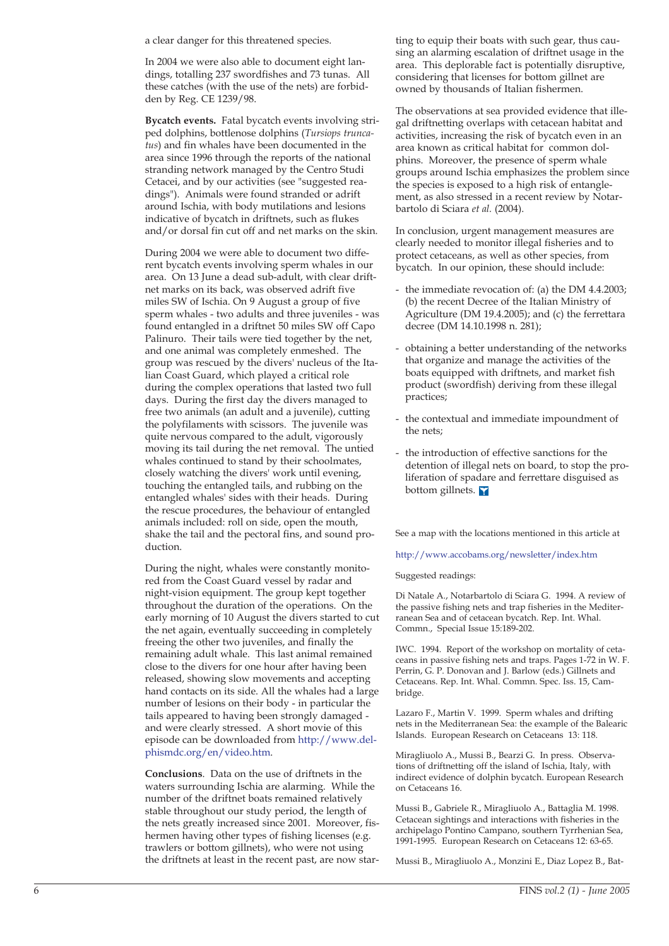a clear danger for this threatened species.

In 2004 we were also able to document eight landings, totalling 237 swordfishes and 73 tunas. All these catches (with the use of the nets) are forbidden by Reg. CE 1239/98.

**Bycatch events.** Fatal bycatch events involving striped dolphins, bottlenose dolphins (*Tursiops truncatus*) and fin whales have been documented in the area since 1996 through the reports of the national stranding network managed by the Centro Studi Cetacei, and by our activities (see "suggested readings"). Animals were found stranded or adrift around Ischia, with body mutilations and lesions indicative of bycatch in driftnets, such as flukes and/or dorsal fin cut off and net marks on the skin.

During 2004 we were able to document two different bycatch events involving sperm whales in our area. On 13 June a dead sub-adult, with clear driftnet marks on its back, was observed adrift five miles SW of Ischia. On 9 August a group of five sperm whales - two adults and three juveniles - was found entangled in a driftnet 50 miles SW off Capo Palinuro. Their tails were tied together by the net, and one animal was completely enmeshed. The group was rescued by the divers' nucleus of the Italian Coast Guard, which played a critical role during the complex operations that lasted two full days. During the first day the divers managed to free two animals (an adult and a juvenile), cutting the polyfilaments with scissors. The juvenile was quite nervous compared to the adult, vigorously moving its tail during the net removal. The untied whales continued to stand by their schoolmates, closely watching the divers' work until evening, touching the entangled tails, and rubbing on the entangled whales' sides with their heads. During the rescue procedures, the behaviour of entangled animals included: roll on side, open the mouth, shake the tail and the pectoral fins, and sound production.

During the night, whales were constantly monitored from the Coast Guard vessel by radar and night-vision equipment. The group kept together throughout the duration of the operations. On the early morning of 10 August the divers started to cut the net again, eventually succeeding in completely freeing the other two juveniles, and finally the remaining adult whale. This last animal remained close to the divers for one hour after having been released, showing slow movements and accepting hand contacts on its side. All the whales had a large number of lesions on their body - in particular the tails appeared to having been strongly damaged and were clearly stressed. A short movie of this episode can be downloaded from http://www.delphismdc.org/en/video.htm.

**Conclusions**. Data on the use of driftnets in the waters surrounding Ischia are alarming. While the number of the driftnet boats remained relatively stable throughout our study period, the length of the nets greatly increased since 2001. Moreover, fishermen having other types of fishing licenses (e.g. trawlers or bottom gillnets), who were not using the driftnets at least in the recent past, are now star-

ting to equip their boats with such gear, thus causing an alarming escalation of driftnet usage in the area. This deplorable fact is potentially disruptive, considering that licenses for bottom gillnet are owned by thousands of Italian fishermen.

The observations at sea provided evidence that illegal driftnetting overlaps with cetacean habitat and activities, increasing the risk of bycatch even in an area known as critical habitat for common dolphins. Moreover, the presence of sperm whale groups around Ischia emphasizes the problem since the species is exposed to a high risk of entanglement, as also stressed in a recent review by Notarbartolo di Sciara *et al.* (2004).

In conclusion, urgent management measures are clearly needed to monitor illegal fisheries and to protect cetaceans, as well as other species, from bycatch. In our opinion, these should include:

- the immediate revocation of: (a) the DM 4.4.2003; (b) the recent Decree of the Italian Ministry of Agriculture (DM 19.4.2005); and (c) the ferrettara decree (DM 14.10.1998 n. 281);
- obtaining a better understanding of the networks that organize and manage the activities of the boats equipped with driftnets, and market fish product (swordfish) deriving from these illegal practices;
- the contextual and immediate impoundment of the nets;
- the introduction of effective sanctions for the detention of illegal nets on board, to stop the proliferation of spadare and ferrettare disguised as bottom gillnets.

See a map with the locations mentioned in this article at

### http://www.accobams.org/newsletter/index.htm

Suggested readings:

Di Natale A., Notarbartolo di Sciara G. 1994. A review of the passive fishing nets and trap fisheries in the Mediterranean Sea and of cetacean bycatch. Rep. Int. Whal. Commn., Special Issue 15:189-202.

IWC. 1994. Report of the workshop on mortality of cetaceans in passive fishing nets and traps. Pages 1-72 in W. F. Perrin, G. P. Donovan and J. Barlow (eds.) Gillnets and Cetaceans. Rep. Int. Whal. Commn. Spec. Iss. 15, Cambridge.

Lazaro F., Martin V. 1999. Sperm whales and drifting nets in the Mediterranean Sea: the example of the Balearic Islands. European Research on Cetaceans 13: 118.

Miragliuolo A., Mussi B., Bearzi G. In press. Observations of driftnetting off the island of Ischia, Italy, with indirect evidence of dolphin bycatch. European Research on Cetaceans 16.

Mussi B., Gabriele R., Miragliuolo A., Battaglia M. 1998. Cetacean sightings and interactions with fisheries in the archipelago Pontino Campano, southern Tyrrhenian Sea, 1991-1995. European Research on Cetaceans 12: 63-65.

Mussi B., Miragliuolo A., Monzini E., Diaz Lopez B., Bat-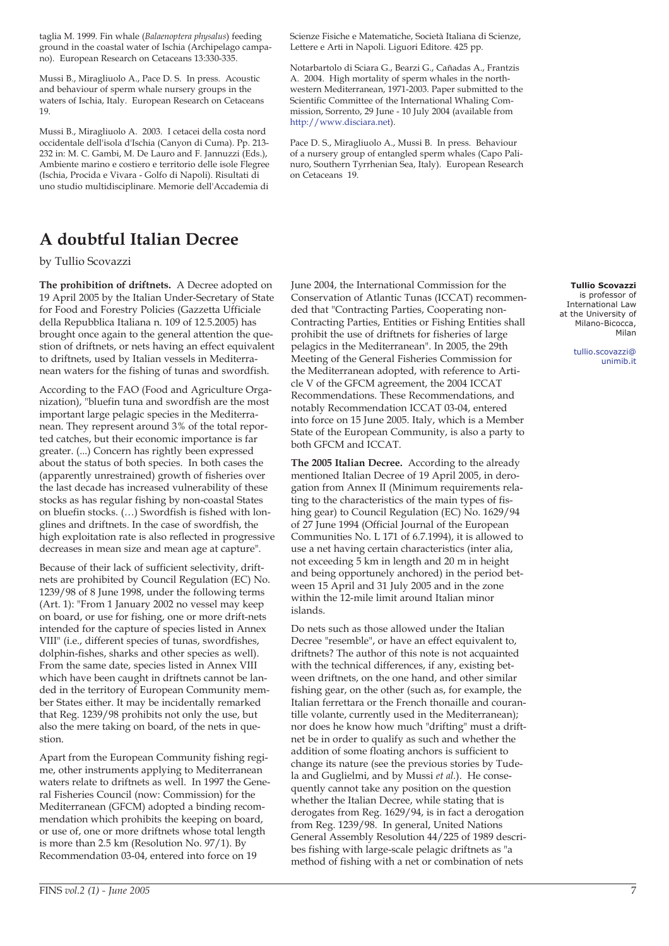taglia M. 1999. Fin whale (*Balaenoptera physalus*) feeding ground in the coastal water of Ischia (Archipelago campano). European Research on Cetaceans 13:330-335.

Mussi B., Miragliuolo A., Pace D. S. In press. Acoustic and behaviour of sperm whale nursery groups in the waters of Ischia, Italy. European Research on Cetaceans 19.

Mussi B., Miragliuolo A. 2003. I cetacei della costa nord occidentale dell'isola d'Ischia (Canyon di Cuma). Pp. 213- 232 in: M. C. Gambi, M. De Lauro and F. Jannuzzi (Eds.), Ambiente marino e costiero e territorio delle isole Flegree (Ischia, Procida e Vivara - Golfo di Napoli). Risultati di uno studio multidisciplinare. Memorie dell'Accademia di

## **A doubtful Italian Decree**

by Tullio Scovazzi

**The prohibition of driftnets.** A Decree adopted on 19 April 2005 by the Italian Under-Secretary of State for Food and Forestry Policies (Gazzetta Ufficiale della Repubblica Italiana n. 109 of 12.5.2005) has brought once again to the general attention the question of driftnets, or nets having an effect equivalent to driftnets, used by Italian vessels in Mediterranean waters for the fishing of tunas and swordfish.

According to the FAO (Food and Agriculture Organization), "bluefin tuna and swordfish are the most important large pelagic species in the Mediterranean. They represent around 3% of the total reported catches, but their economic importance is far greater. (...) Concern has rightly been expressed about the status of both species. In both cases the (apparently unrestrained) growth of fisheries over the last decade has increased vulnerability of these stocks as has regular fishing by non-coastal States on bluefin stocks. (…) Swordfish is fished with longlines and driftnets. In the case of swordfish, the high exploitation rate is also reflected in progressive decreases in mean size and mean age at capture".

Because of their lack of sufficient selectivity, driftnets are prohibited by Council Regulation (EC) No. 1239/98 of 8 June 1998, under the following terms (Art. 1): "From 1 January 2002 no vessel may keep on board, or use for fishing, one or more drift-nets intended for the capture of species listed in Annex VIII" (i.e., different species of tunas, swordfishes, dolphin-fishes, sharks and other species as well). From the same date, species listed in Annex VIII which have been caught in driftnets cannot be landed in the territory of European Community member States either. It may be incidentally remarked that Reg. 1239/98 prohibits not only the use, but also the mere taking on board, of the nets in question.

Apart from the European Community fishing regime, other instruments applying to Mediterranean waters relate to driftnets as well. In 1997 the General Fisheries Council (now: Commission) for the Mediterranean (GFCM) adopted a binding recommendation which prohibits the keeping on board, or use of, one or more driftnets whose total length is more than 2.5 km (Resolution No. 97/1). By Recommendation 03-04, entered into force on 19

Scienze Fisiche e Matematiche, Società Italiana di Scienze, Lettere e Arti in Napoli. Liguori Editore. 425 pp.

Notarbartolo di Sciara G., Bearzi G., Cañadas A., Frantzis A. 2004. High mortality of sperm whales in the northwestern Mediterranean, 1971-2003. Paper submitted to the Scientific Committee of the International Whaling Commission, Sorrento, 29 June - 10 July 2004 (available from http://www.disciara.net).

Pace D. S., Miragliuolo A., Mussi B. In press. Behaviour of a nursery group of entangled sperm whales (Capo Palinuro, Southern Tyrrhenian Sea, Italy). European Research on Cetaceans 19.

June 2004, the International Commission for the Conservation of Atlantic Tunas (ICCAT) recommended that "Contracting Parties, Cooperating non-Contracting Parties, Entities or Fishing Entities shall prohibit the use of driftnets for fisheries of large pelagics in the Mediterranean". In 2005, the 29th Meeting of the General Fisheries Commission for the Mediterranean adopted, with reference to Article V of the GFCM agreement, the 2004 ICCAT Recommendations. These Recommendations, and notably Recommendation ICCAT 03-04, entered into force on 15 June 2005. Italy, which is a Member State of the European Community, is also a party to both GFCM and ICCAT.

**The 2005 Italian Decree.** According to the already mentioned Italian Decree of 19 April 2005, in derogation from Annex II (Minimum requirements relating to the characteristics of the main types of fishing gear) to Council Regulation (EC) No. 1629/94 of 27 June 1994 (Official Journal of the European Communities No. L 171 of 6.7.1994), it is allowed to use a net having certain characteristics (inter alia, not exceeding 5 km in length and 20 m in height and being opportunely anchored) in the period between 15 April and 31 July 2005 and in the zone within the 12-mile limit around Italian minor islands.

Do nets such as those allowed under the Italian Decree "resemble", or have an effect equivalent to, driftnets? The author of this note is not acquainted with the technical differences, if any, existing between driftnets, on the one hand, and other similar fishing gear, on the other (such as, for example, the Italian ferrettara or the French thonaille and courantille volante, currently used in the Mediterranean); nor does he know how much "drifting" must a driftnet be in order to qualify as such and whether the addition of some floating anchors is sufficient to change its nature (see the previous stories by Tudela and Guglielmi, and by Mussi *et al.*). He consequently cannot take any position on the question whether the Italian Decree, while stating that is derogates from Reg. 1629/94, is in fact a derogation from Reg. 1239/98. In general, United Nations General Assembly Resolution 44/225 of 1989 describes fishing with large-scale pelagic driftnets as "a method of fishing with a net or combination of nets

### **Tullio Scovazzi**

is professor of International Law at the University of Milano-Bicocca, Milan

> tullio.scovazzi@ unimib.it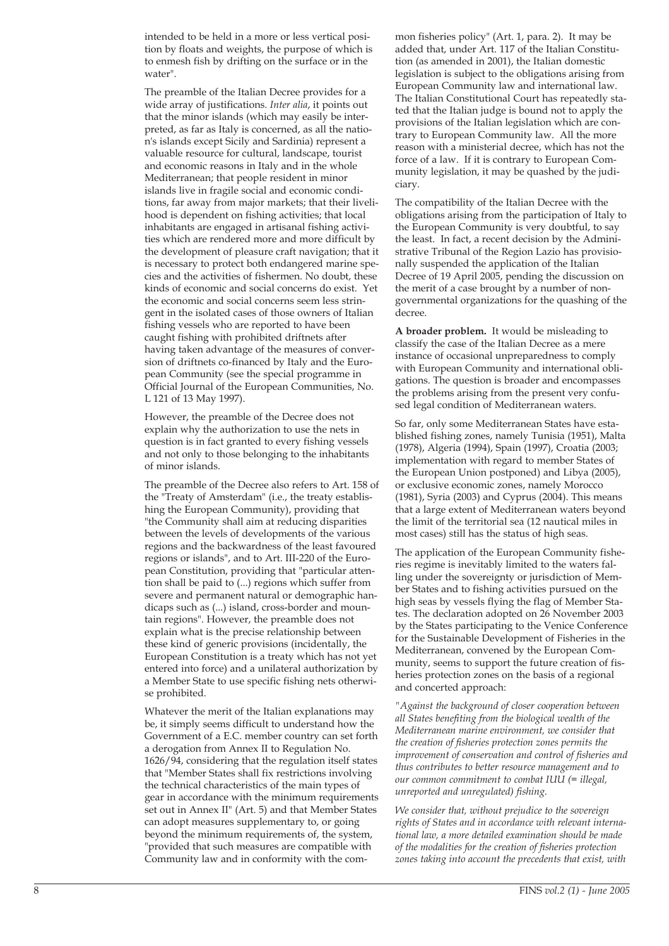intended to be held in a more or less vertical position by floats and weights, the purpose of which is to enmesh fish by drifting on the surface or in the water".

The preamble of the Italian Decree provides for a wide array of justifications. *Inter alia*, it points out that the minor islands (which may easily be interpreted, as far as Italy is concerned, as all the nation's islands except Sicily and Sardinia) represent a valuable resource for cultural, landscape, tourist and economic reasons in Italy and in the whole Mediterranean; that people resident in minor islands live in fragile social and economic conditions, far away from major markets; that their livelihood is dependent on fishing activities; that local inhabitants are engaged in artisanal fishing activities which are rendered more and more difficult by the development of pleasure craft navigation; that it is necessary to protect both endangered marine species and the activities of fishermen. No doubt, these kinds of economic and social concerns do exist. Yet the economic and social concerns seem less stringent in the isolated cases of those owners of Italian fishing vessels who are reported to have been caught fishing with prohibited driftnets after having taken advantage of the measures of conversion of driftnets co-financed by Italy and the European Community (see the special programme in Official Journal of the European Communities, No. L 121 of 13 May 1997).

However, the preamble of the Decree does not explain why the authorization to use the nets in question is in fact granted to every fishing vessels and not only to those belonging to the inhabitants of minor islands.

The preamble of the Decree also refers to Art. 158 of the "Treaty of Amsterdam" (i.e., the treaty establishing the European Community), providing that "the Community shall aim at reducing disparities between the levels of developments of the various regions and the backwardness of the least favoured regions or islands", and to Art. III-220 of the European Constitution, providing that "particular attention shall be paid to (...) regions which suffer from severe and permanent natural or demographic handicaps such as (...) island, cross-border and mountain regions". However, the preamble does not explain what is the precise relationship between these kind of generic provisions (incidentally, the European Constitution is a treaty which has not yet entered into force) and a unilateral authorization by a Member State to use specific fishing nets otherwise prohibited.

Whatever the merit of the Italian explanations may be, it simply seems difficult to understand how the Government of a E.C. member country can set forth a derogation from Annex II to Regulation No. 1626/94, considering that the regulation itself states that "Member States shall fix restrictions involving the technical characteristics of the main types of gear in accordance with the minimum requirements set out in Annex II" (Art. 5) and that Member States can adopt measures supplementary to, or going beyond the minimum requirements of, the system, "provided that such measures are compatible with Community law and in conformity with the common fisheries policy" (Art. 1, para. 2). It may be added that, under Art. 117 of the Italian Constitution (as amended in 2001), the Italian domestic legislation is subject to the obligations arising from European Community law and international law. The Italian Constitutional Court has repeatedly stated that the Italian judge is bound not to apply the provisions of the Italian legislation which are contrary to European Community law. All the more reason with a ministerial decree, which has not the force of a law. If it is contrary to European Community legislation, it may be quashed by the judiciary.

The compatibility of the Italian Decree with the obligations arising from the participation of Italy to the European Community is very doubtful, to say the least. In fact, a recent decision by the Administrative Tribunal of the Region Lazio has provisionally suspended the application of the Italian Decree of 19 April 2005, pending the discussion on the merit of a case brought by a number of nongovernmental organizations for the quashing of the decree.

**A broader problem.** It would be misleading to classify the case of the Italian Decree as a mere instance of occasional unpreparedness to comply with European Community and international obligations. The question is broader and encompasses the problems arising from the present very confused legal condition of Mediterranean waters.

So far, only some Mediterranean States have established fishing zones, namely Tunisia (1951), Malta (1978), Algeria (1994), Spain (1997), Croatia (2003; implementation with regard to member States of the European Union postponed) and Libya (2005), or exclusive economic zones, namely Morocco (1981), Syria (2003) and Cyprus (2004). This means that a large extent of Mediterranean waters beyond the limit of the territorial sea (12 nautical miles in most cases) still has the status of high seas.

The application of the European Community fisheries regime is inevitably limited to the waters falling under the sovereignty or jurisdiction of Member States and to fishing activities pursued on the high seas by vessels flying the flag of Member States. The declaration adopted on 26 November 2003 by the States participating to the Venice Conference for the Sustainable Development of Fisheries in the Mediterranean, convened by the European Community, seems to support the future creation of fisheries protection zones on the basis of a regional and concerted approach:

*"Against the background of closer cooperation between all States benefiting from the biological wealth of the Mediterranean marine environment, we consider that the creation of fisheries protection zones permits the improvement of conservation and control of fisheries and thus contributes to better resource management and to our common commitment to combat IUU (= illegal, unreported and unregulated) fishing.*

*We consider that, without prejudice to the sovereign rights of States and in accordance with relevant international law, a more detailed examination should be made of the modalities for the creation of fisheries protection zones taking into account the precedents that exist, with*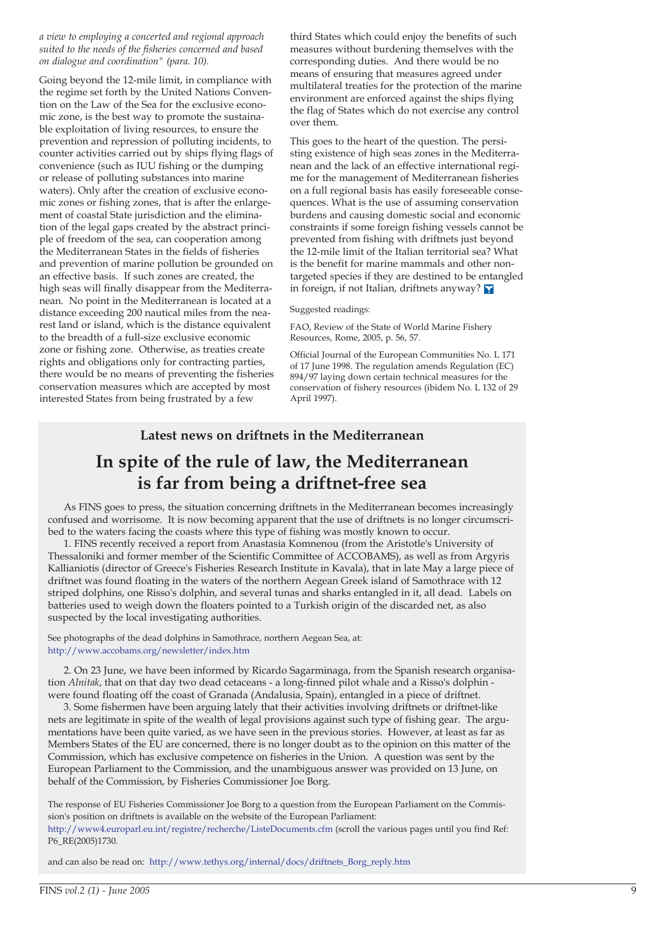### *a view to employing a concerted and regional approach suited to the needs of the fisheries concerned and based on dialogue and coordination" (para. 10).*

Going beyond the 12-mile limit, in compliance with the regime set forth by the United Nations Convention on the Law of the Sea for the exclusive economic zone, is the best way to promote the sustainable exploitation of living resources, to ensure the prevention and repression of polluting incidents, to counter activities carried out by ships flying flags of convenience (such as IUU fishing or the dumping or release of polluting substances into marine waters). Only after the creation of exclusive economic zones or fishing zones, that is after the enlargement of coastal State jurisdiction and the elimination of the legal gaps created by the abstract principle of freedom of the sea, can cooperation among the Mediterranean States in the fields of fisheries and prevention of marine pollution be grounded on an effective basis. If such zones are created, the high seas will finally disappear from the Mediterranean. No point in the Mediterranean is located at a distance exceeding 200 nautical miles from the nearest land or island, which is the distance equivalent to the breadth of a full-size exclusive economic zone or fishing zone. Otherwise, as treaties create rights and obligations only for contracting parties, there would be no means of preventing the fisheries conservation measures which are accepted by most interested States from being frustrated by a few

third States which could enjoy the benefits of such measures without burdening themselves with the corresponding duties. And there would be no means of ensuring that measures agreed under multilateral treaties for the protection of the marine environment are enforced against the ships flying the flag of States which do not exercise any control over them.

This goes to the heart of the question. The persisting existence of high seas zones in the Mediterranean and the lack of an effective international regime for the management of Mediterranean fisheries on a full regional basis has easily foreseeable consequences. What is the use of assuming conservation burdens and causing domestic social and economic constraints if some foreign fishing vessels cannot be prevented from fishing with driftnets just beyond the 12-mile limit of the Italian territorial sea? What is the benefit for marine mammals and other nontargeted species if they are destined to be entangled in foreign, if not Italian, driftnets anyway?

### Suggested readings:

FAO, Review of the State of World Marine Fishery Resources, Rome, 2005, p. 56, 57.

Official Journal of the European Communities No. L 171 of 17 June 1998. The regulation amends Regulation (EC) 894/97 laying down certain technical measures for the conservation of fishery resources (ibidem No. L 132 of 29 April 1997).

## **Latest news on driftnets in the Mediterranean**

# **In spite of the rule of law, the Mediterranean is far from being a driftnet-free sea**

As FINS goes to press, the situation concerning driftnets in the Mediterranean becomes increasingly confused and worrisome. It is now becoming apparent that the use of driftnets is no longer circumscribed to the waters facing the coasts where this type of fishing was mostly known to occur.

1. FINS recently received a report from Anastasia Komnenou (from the Aristotle's University of Thessaloniki and former member of the Scientific Committee of ACCOBAMS), as well as from Argyris Kallianiotis (director of Greece's Fisheries Research Institute in Kavala), that in late May a large piece of driftnet was found floating in the waters of the northern Aegean Greek island of Samothrace with 12 striped dolphins, one Risso's dolphin, and several tunas and sharks entangled in it, all dead. Labels on batteries used to weigh down the floaters pointed to a Turkish origin of the discarded net, as also suspected by the local investigating authorities.

See photographs of the dead dolphins in Samothrace, northern Aegean Sea, at: http://www.accobams.org/newsletter/index.htm

2. On 23 June, we have been informed by Ricardo Sagarminaga, from the Spanish research organisation *Alnitak*, that on that day two dead cetaceans - a long-finned pilot whale and a Risso's dolphin were found floating off the coast of Granada (Andalusia, Spain), entangled in a piece of driftnet.

3. Some fishermen have been arguing lately that their activities involving driftnets or driftnet-like nets are legitimate in spite of the wealth of legal provisions against such type of fishing gear. The argumentations have been quite varied, as we have seen in the previous stories. However, at least as far as Members States of the EU are concerned, there is no longer doubt as to the opinion on this matter of the Commission, which has exclusive competence on fisheries in the Union. A question was sent by the European Parliament to the Commission, and the unambiguous answer was provided on 13 June, on behalf of the Commission, by Fisheries Commissioner Joe Borg.

The response of EU Fisheries Commissioner Joe Borg to a question from the European Parliament on the Commission's position on driftnets is available on the website of the European Parliament: http://www4.europarl.eu.int/registre/recherche/ListeDocuments.cfm (scroll the various pages until you find Ref: P6\_RE(2005)1730.

and can also be read on: http://www.tethys.org/internal/docs/driftnets\_Borg\_reply.htm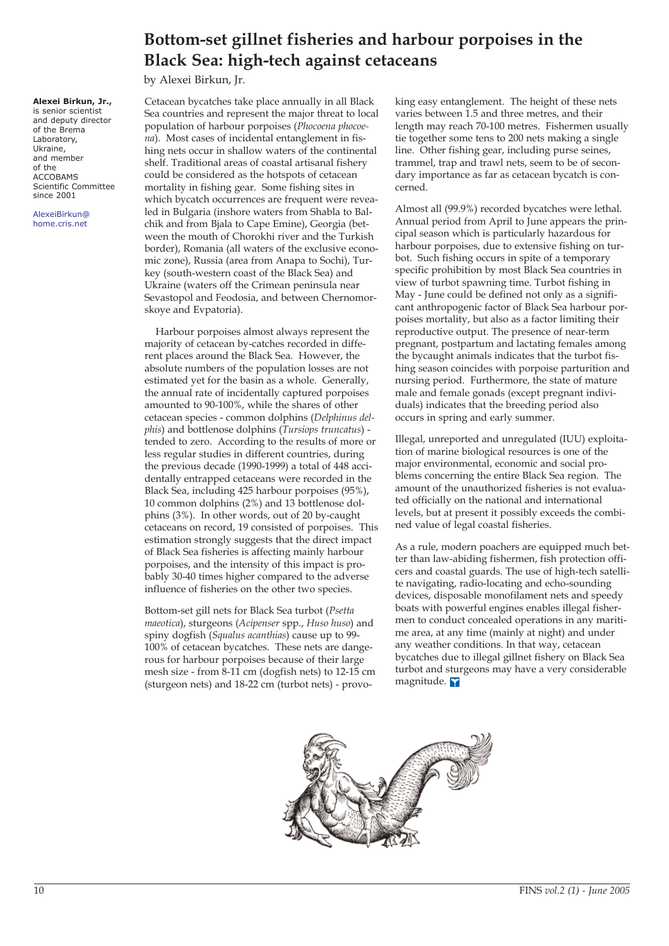# **Bottom-set gillnet fisheries and harbour porpoises in the Black Sea: high-tech against cetaceans**

by Alexei Birkun, Jr.

**Alexei Birkun, Jr.,**

is senior scientist and deputy director of the Brema Laboratory, Ukraine, and member of the ACCOBAMS Scientific Committee since 2001

AlexeiBirkun@ home.cris.net

Cetacean bycatches take place annually in all Black Sea countries and represent the major threat to local population of harbour porpoises (*Phocoena phocoena*). Most cases of incidental entanglement in fishing nets occur in shallow waters of the continental shelf. Traditional areas of coastal artisanal fishery could be considered as the hotspots of cetacean mortality in fishing gear. Some fishing sites in which bycatch occurrences are frequent were revealed in Bulgaria (inshore waters from Shabla to Balchik and from Bjala to Cape Emine), Georgia (between the mouth of Chorokhi river and the Turkish border), Romania (all waters of the exclusive economic zone), Russia (area from Anapa to Sochi), Turkey (south-western coast of the Black Sea) and Ukraine (waters off the Crimean peninsula near Sevastopol and Feodosia, and between Chernomorskoye and Evpatoria).

Harbour porpoises almost always represent the majority of cetacean by-catches recorded in different places around the Black Sea. However, the absolute numbers of the population losses are not estimated yet for the basin as a whole. Generally, the annual rate of incidentally captured porpoises amounted to 90-100%, while the shares of other cetacean species - common dolphins (*Delphinus delphis*) and bottlenose dolphins (*Tursiops truncatus*) tended to zero. According to the results of more or less regular studies in different countries, during the previous decade (1990-1999) a total of 448 accidentally entrapped cetaceans were recorded in the Black Sea, including 425 harbour porpoises (95%), 10 common dolphins (2%) and 13 bottlenose dolphins (3%). In other words, out of 20 by-caught cetaceans on record, 19 consisted of porpoises. This estimation strongly suggests that the direct impact of Black Sea fisheries is affecting mainly harbour porpoises, and the intensity of this impact is probably 30-40 times higher compared to the adverse influence of fisheries on the other two species.

Bottom-set gill nets for Black Sea turbot (*Psetta maeotica*), sturgeons (*Acipenser* spp., *Huso huso*) and spiny dogfish (*Squalus acanthias*) cause up to 99- 100% of cetacean bycatches. These nets are dangerous for harbour porpoises because of their large mesh size - from 8-11 cm (dogfish nets) to 12-15 cm (sturgeon nets) and 18-22 cm (turbot nets) - provoking easy entanglement. The height of these nets varies between 1.5 and three metres, and their length may reach 70-100 metres. Fishermen usually tie together some tens to 200 nets making a single line. Other fishing gear, including purse seines, trammel, trap and trawl nets, seem to be of secondary importance as far as cetacean bycatch is concerned.

Almost all (99.9%) recorded bycatches were lethal. Annual period from April to June appears the principal season which is particularly hazardous for harbour porpoises, due to extensive fishing on turbot. Such fishing occurs in spite of a temporary specific prohibition by most Black Sea countries in view of turbot spawning time. Turbot fishing in May - June could be defined not only as a significant anthropogenic factor of Black Sea harbour porpoises mortality, but also as a factor limiting their reproductive output. The presence of near-term pregnant, postpartum and lactating females among the bycaught animals indicates that the turbot fishing season coincides with porpoise parturition and nursing period. Furthermore, the state of mature male and female gonads (except pregnant individuals) indicates that the breeding period also occurs in spring and early summer.

Illegal, unreported and unregulated (IUU) exploitation of marine biological resources is one of the major environmental, economic and social problems concerning the entire Black Sea region. The amount of the unauthorized fisheries is not evaluated officially on the national and international levels, but at present it possibly exceeds the combined value of legal coastal fisheries.

As a rule, modern poachers are equipped much better than law-abiding fishermen, fish protection officers and coastal guards. The use of high-tech satellite navigating, radio-locating and echo-sounding devices, disposable monofilament nets and speedy boats with powerful engines enables illegal fishermen to conduct concealed operations in any maritime area, at any time (mainly at night) and under any weather conditions. In that way, cetacean bycatches due to illegal gillnet fishery on Black Sea turbot and sturgeons may have a very considerable magnitude.

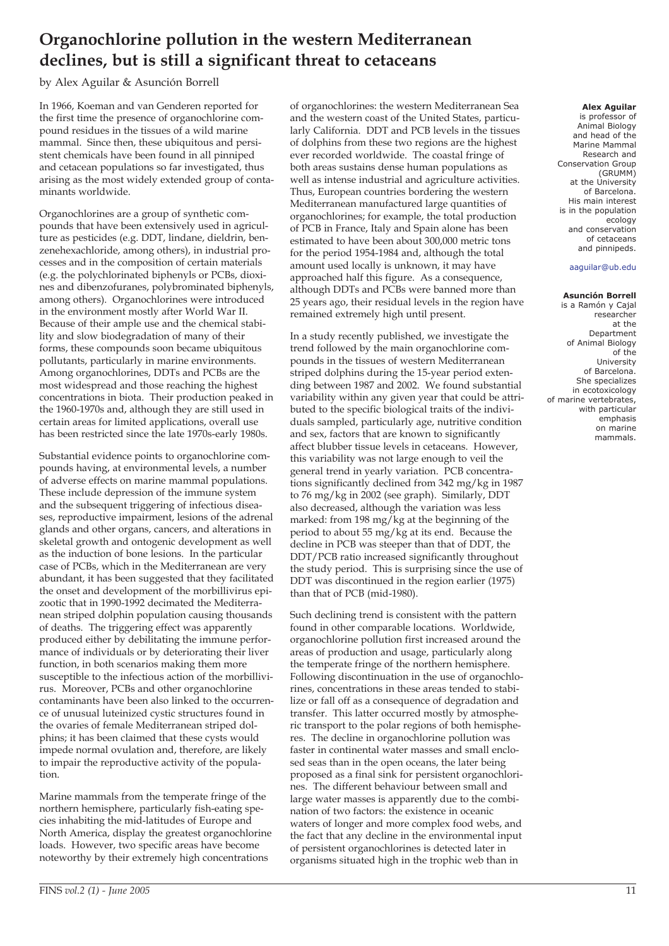# **Organochlorine pollution in the western Mediterranean declines, but is still a significant threat to cetaceans**

## by Alex Aguilar & Asunción Borrell

In 1966, Koeman and van Genderen reported for the first time the presence of organochlorine compound residues in the tissues of a wild marine mammal. Since then, these ubiquitous and persistent chemicals have been found in all pinniped and cetacean populations so far investigated, thus arising as the most widely extended group of contaminants worldwide.

Organochlorines are a group of synthetic compounds that have been extensively used in agriculture as pesticides (e.g. DDT, lindane, dieldrin, benzenehexachloride, among others), in industrial processes and in the composition of certain materials (e.g. the polychlorinated biphenyls or PCBs, dioxines and dibenzofuranes, polybrominated biphenyls, among others). Organochlorines were introduced in the environment mostly after World War II. Because of their ample use and the chemical stability and slow biodegradation of many of their forms, these compounds soon became ubiquitous pollutants, particularly in marine environments. Among organochlorines, DDTs and PCBs are the most widespread and those reaching the highest concentrations in biota. Their production peaked in the 1960-1970s and, although they are still used in certain areas for limited applications, overall use has been restricted since the late 1970s-early 1980s.

Substantial evidence points to organochlorine compounds having, at environmental levels, a number of adverse effects on marine mammal populations. These include depression of the immune system and the subsequent triggering of infectious diseases, reproductive impairment, lesions of the adrenal glands and other organs, cancers, and alterations in skeletal growth and ontogenic development as well as the induction of bone lesions. In the particular case of PCBs, which in the Mediterranean are very abundant, it has been suggested that they facilitated the onset and development of the morbillivirus epizootic that in 1990-1992 decimated the Mediterranean striped dolphin population causing thousands of deaths. The triggering effect was apparently produced either by debilitating the immune performance of individuals or by deteriorating their liver function, in both scenarios making them more susceptible to the infectious action of the morbillivirus. Moreover, PCBs and other organochlorine contaminants have been also linked to the occurrence of unusual luteinized cystic structures found in the ovaries of female Mediterranean striped dolphins; it has been claimed that these cysts would impede normal ovulation and, therefore, are likely to impair the reproductive activity of the population.

Marine mammals from the temperate fringe of the northern hemisphere, particularly fish-eating species inhabiting the mid-latitudes of Europe and North America, display the greatest organochlorine loads. However, two specific areas have become noteworthy by their extremely high concentrations

of organochlorines: the western Mediterranean Sea and the western coast of the United States, particularly California. DDT and PCB levels in the tissues of dolphins from these two regions are the highest ever recorded worldwide. The coastal fringe of both areas sustains dense human populations as well as intense industrial and agriculture activities. Thus, European countries bordering the western Mediterranean manufactured large quantities of organochlorines; for example, the total production of PCB in France, Italy and Spain alone has been estimated to have been about 300,000 metric tons for the period 1954-1984 and, although the total amount used locally is unknown, it may have approached half this figure. As a consequence, although DDTs and PCBs were banned more than 25 years ago, their residual levels in the region have remained extremely high until present.

In a study recently published, we investigate the trend followed by the main organochlorine compounds in the tissues of western Mediterranean striped dolphins during the 15-year period extending between 1987 and 2002. We found substantial variability within any given year that could be attributed to the specific biological traits of the individuals sampled, particularly age, nutritive condition and sex, factors that are known to significantly affect blubber tissue levels in cetaceans. However, this variability was not large enough to veil the general trend in yearly variation. PCB concentrations significantly declined from 342 mg/kg in 1987 to 76 mg/kg in 2002 (see graph). Similarly, DDT also decreased, although the variation was less marked: from 198 mg/kg at the beginning of the period to about 55 mg/kg at its end. Because the decline in PCB was steeper than that of DDT, the DDT/PCB ratio increased significantly throughout the study period. This is surprising since the use of DDT was discontinued in the region earlier (1975) than that of PCB (mid-1980).

Such declining trend is consistent with the pattern found in other comparable locations. Worldwide, organochlorine pollution first increased around the areas of production and usage, particularly along the temperate fringe of the northern hemisphere. Following discontinuation in the use of organochlorines, concentrations in these areas tended to stabilize or fall off as a consequence of degradation and transfer. This latter occurred mostly by atmospheric transport to the polar regions of both hemispheres. The decline in organochlorine pollution was faster in continental water masses and small enclosed seas than in the open oceans, the later being proposed as a final sink for persistent organochlorines. The different behaviour between small and large water masses is apparently due to the combination of two factors: the existence in oceanic waters of longer and more complex food webs, and the fact that any decline in the environmental input of persistent organochlorines is detected later in organisms situated high in the trophic web than in

### **Alex Aguilar**

is professor of Animal Biology and head of the Marine Mammal Research and Conservation Group (GRUMM) at the University of Barcelona. His main interest is in the population ecology and conservation of cetaceans and pinnipeds.

### aaguilar@ub.edu

### **Asunción Borrell**

is a Ramón y Cajal researcher at the Department of Animal Biology of the University of Barcelona. She specializes in ecotoxicology of marine vertebrates, with particular emphasis on marine mammals.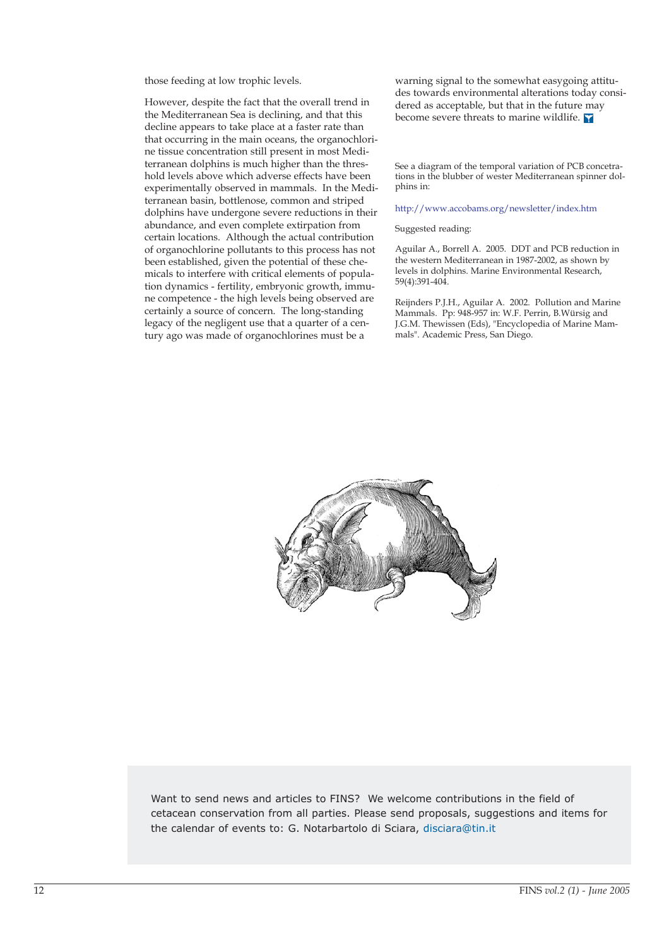those feeding at low trophic levels.

However, despite the fact that the overall trend in the Mediterranean Sea is declining, and that this decline appears to take place at a faster rate than that occurring in the main oceans, the organochlorine tissue concentration still present in most Mediterranean dolphins is much higher than the threshold levels above which adverse effects have been experimentally observed in mammals. In the Mediterranean basin, bottlenose, common and striped dolphins have undergone severe reductions in their abundance, and even complete extirpation from certain locations. Although the actual contribution of organochlorine pollutants to this process has not been established, given the potential of these chemicals to interfere with critical elements of population dynamics - fertility, embryonic growth, immune competence - the high levels being observed are certainly a source of concern. The long-standing legacy of the negligent use that a quarter of a century ago was made of organochlorines must be a

warning signal to the somewhat easygoing attitudes towards environmental alterations today considered as acceptable, but that in the future may become severe threats to marine wildlife.

See a diagram of the temporal variation of PCB concetrations in the blubber of wester Mediterranean spinner dolphins in:

### http://www.accobams.org/newsletter/index.htm

#### Suggested reading:

Aguilar A., Borrell A. 2005. DDT and PCB reduction in the western Mediterranean in 1987-2002, as shown by levels in dolphins. Marine Environmental Research, 59(4):391-404.

Reijnders P.J.H., Aguilar A. 2002. Pollution and Marine Mammals. Pp: 948-957 in: W.F. Perrin, B.Würsig and J.G.M. Thewissen (Eds), "Encyclopedia of Marine Mammals". Academic Press, San Diego.



Want to send news and articles to FINS? We welcome contributions in the field of cetacean conservation from all parties. Please send proposals, suggestions and items for the calendar of events to: G. Notarbartolo di Sciara, disciara@tin.it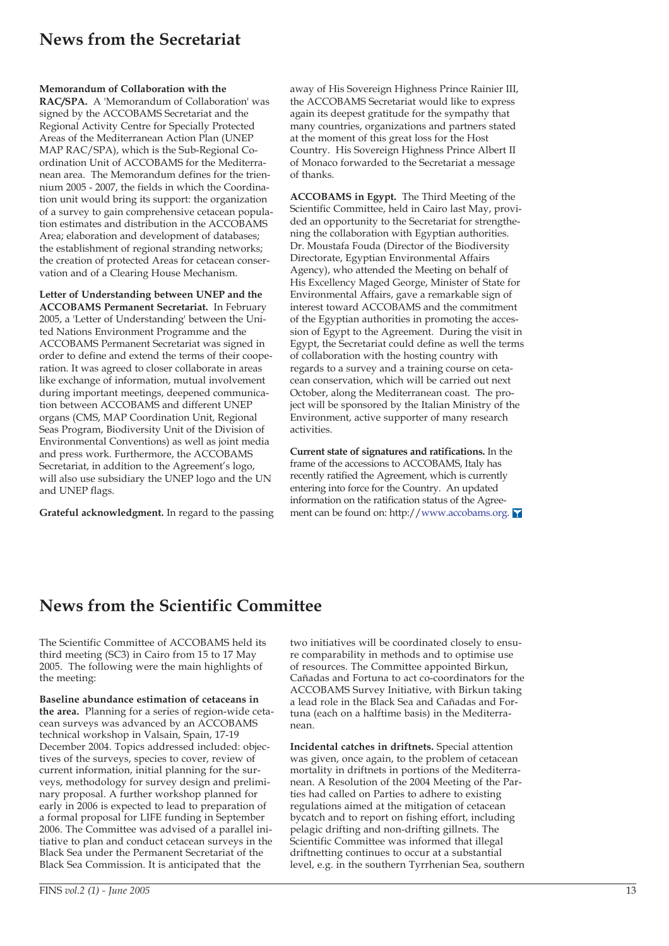# **News from the Secretariat**

### **Memorandum of Collaboration with the**

**RAC/SPA.** A 'Memorandum of Collaboration' was signed by the ACCOBAMS Secretariat and the Regional Activity Centre for Specially Protected Areas of the Mediterranean Action Plan (UNEP MAP RAC/SPA), which is the Sub-Regional Coordination Unit of ACCOBAMS for the Mediterranean area. The Memorandum defines for the triennium 2005 - 2007, the fields in which the Coordination unit would bring its support: the organization of a survey to gain comprehensive cetacean population estimates and distribution in the ACCOBAMS Area; elaboration and development of databases; the establishment of regional stranding networks; the creation of protected Areas for cetacean conservation and of a Clearing House Mechanism.

**Letter of Understanding between UNEP and the ACCOBAMS Permanent Secretariat.** In February 2005, a 'Letter of Understanding' between the United Nations Environment Programme and the ACCOBAMS Permanent Secretariat was signed in order to define and extend the terms of their cooperation. It was agreed to closer collaborate in areas like exchange of information, mutual involvement during important meetings, deepened communication between ACCOBAMS and different UNEP organs (CMS, MAP Coordination Unit, Regional Seas Program, Biodiversity Unit of the Division of Environmental Conventions) as well as joint media and press work. Furthermore, the ACCOBAMS Secretariat, in addition to the Agreement's logo, will also use subsidiary the UNEP logo and the UN and UNEP flags.

**Grateful acknowledgment.** In regard to the passing

away of His Sovereign Highness Prince Rainier III, the ACCOBAMS Secretariat would like to express again its deepest gratitude for the sympathy that many countries, organizations and partners stated at the moment of this great loss for the Host Country. His Sovereign Highness Prince Albert II of Monaco forwarded to the Secretariat a message of thanks.

**ACCOBAMS in Egypt.** The Third Meeting of the Scientific Committee, held in Cairo last May, provided an opportunity to the Secretariat for strengthening the collaboration with Egyptian authorities. Dr. Moustafa Fouda (Director of the Biodiversity Directorate, Egyptian Environmental Affairs Agency), who attended the Meeting on behalf of His Excellency Maged George, Minister of State for Environmental Affairs, gave a remarkable sign of interest toward ACCOBAMS and the commitment of the Egyptian authorities in promoting the accession of Egypt to the Agreement. During the visit in Egypt, the Secretariat could define as well the terms of collaboration with the hosting country with regards to a survey and a training course on cetacean conservation, which will be carried out next October, along the Mediterranean coast. The project will be sponsored by the Italian Ministry of the Environment, active supporter of many research activities.

**Current state of signatures and ratifications.** In the frame of the accessions to ACCOBAMS, Italy has recently ratified the Agreement, which is currently entering into force for the Country. An updated information on the ratification status of the Agreement can be found on: http://www.accobams.org.

## **News from the Scientific Committee**

The Scientific Committee of ACCOBAMS held its third meeting (SC3) in Cairo from 15 to 17 May 2005. The following were the main highlights of the meeting:

**Baseline abundance estimation of cetaceans in the area.** Planning for a series of region-wide cetacean surveys was advanced by an ACCOBAMS technical workshop in Valsain, Spain, 17-19 December 2004. Topics addressed included: objectives of the surveys, species to cover, review of current information, initial planning for the surveys, methodology for survey design and preliminary proposal. A further workshop planned for early in 2006 is expected to lead to preparation of a formal proposal for LIFE funding in September 2006. The Committee was advised of a parallel initiative to plan and conduct cetacean surveys in the Black Sea under the Permanent Secretariat of the Black Sea Commission. It is anticipated that the

two initiatives will be coordinated closely to ensure comparability in methods and to optimise use of resources. The Committee appointed Birkun, Cañadas and Fortuna to act co-coordinators for the ACCOBAMS Survey Initiative, with Birkun taking a lead role in the Black Sea and Cañadas and Fortuna (each on a halftime basis) in the Mediterranean.

**Incidental catches in driftnets.** Special attention was given, once again, to the problem of cetacean mortality in driftnets in portions of the Mediterranean. A Resolution of the 2004 Meeting of the Parties had called on Parties to adhere to existing regulations aimed at the mitigation of cetacean bycatch and to report on fishing effort, including pelagic drifting and non-drifting gillnets. The Scientific Committee was informed that illegal driftnetting continues to occur at a substantial level, e.g. in the southern Tyrrhenian Sea, southern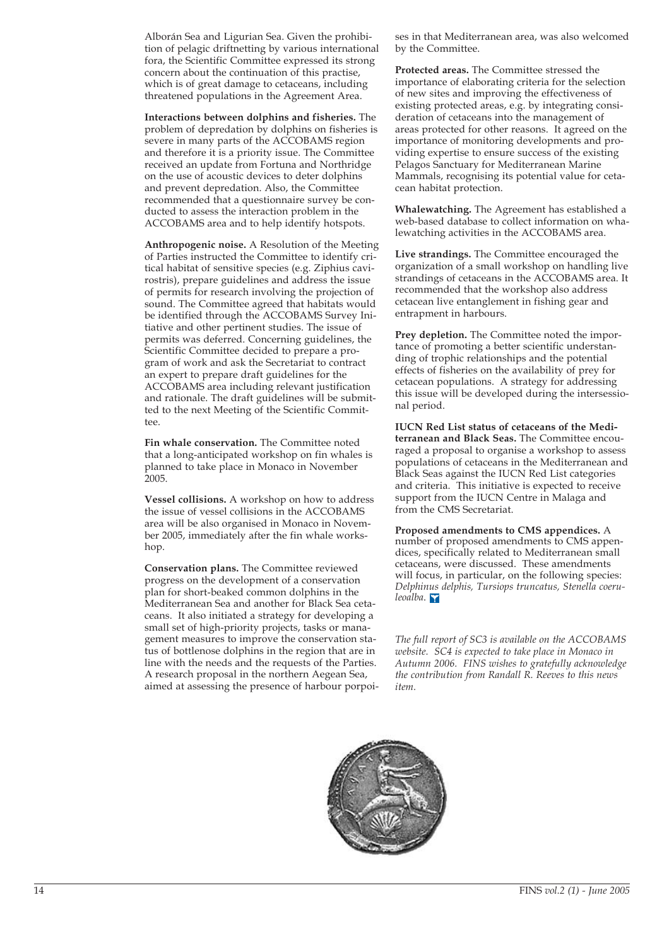Alborán Sea and Ligurian Sea. Given the prohibition of pelagic driftnetting by various international fora, the Scientific Committee expressed its strong concern about the continuation of this practise, which is of great damage to cetaceans, including threatened populations in the Agreement Area.

**Interactions between dolphins and fisheries.** The problem of depredation by dolphins on fisheries is severe in many parts of the ACCOBAMS region and therefore it is a priority issue. The Committee received an update from Fortuna and Northridge on the use of acoustic devices to deter dolphins and prevent depredation. Also, the Committee recommended that a questionnaire survey be conducted to assess the interaction problem in the ACCOBAMS area and to help identify hotspots.

**Anthropogenic noise.** A Resolution of the Meeting of Parties instructed the Committee to identify critical habitat of sensitive species (e.g. Ziphius cavirostris), prepare guidelines and address the issue of permits for research involving the projection of sound. The Committee agreed that habitats would be identified through the ACCOBAMS Survey Initiative and other pertinent studies. The issue of permits was deferred. Concerning guidelines, the Scientific Committee decided to prepare a program of work and ask the Secretariat to contract an expert to prepare draft guidelines for the ACCOBAMS area including relevant justification and rationale. The draft guidelines will be submitted to the next Meeting of the Scientific Committee.

**Fin whale conservation.** The Committee noted that a long-anticipated workshop on fin whales is planned to take place in Monaco in November 2005.

**Vessel collisions.** A workshop on how to address the issue of vessel collisions in the ACCOBAMS area will be also organised in Monaco in November 2005, immediately after the fin whale workshop.

**Conservation plans.** The Committee reviewed progress on the development of a conservation plan for short-beaked common dolphins in the Mediterranean Sea and another for Black Sea cetaceans. It also initiated a strategy for developing a small set of high-priority projects, tasks or management measures to improve the conservation status of bottlenose dolphins in the region that are in line with the needs and the requests of the Parties. A research proposal in the northern Aegean Sea, aimed at assessing the presence of harbour porpoi-

ses in that Mediterranean area, was also welcomed by the Committee.

**Protected areas.** The Committee stressed the importance of elaborating criteria for the selection of new sites and improving the effectiveness of existing protected areas, e.g. by integrating consideration of cetaceans into the management of areas protected for other reasons. It agreed on the importance of monitoring developments and providing expertise to ensure success of the existing Pelagos Sanctuary for Mediterranean Marine Mammals, recognising its potential value for cetacean habitat protection.

**Whalewatching.** The Agreement has established a web-based database to collect information on whalewatching activities in the ACCOBAMS area.

**Live strandings.** The Committee encouraged the organization of a small workshop on handling live strandings of cetaceans in the ACCOBAMS area. It recommended that the workshop also address cetacean live entanglement in fishing gear and entrapment in harbours.

Prey depletion. The Committee noted the importance of promoting a better scientific understanding of trophic relationships and the potential effects of fisheries on the availability of prey for cetacean populations. A strategy for addressing this issue will be developed during the intersessional period.

**IUCN Red List status of cetaceans of the Mediterranean and Black Seas.** The Committee encouraged a proposal to organise a workshop to assess populations of cetaceans in the Mediterranean and Black Seas against the IUCN Red List categories and criteria. This initiative is expected to receive support from the IUCN Centre in Malaga and from the CMS Secretariat.

**Proposed amendments to CMS appendices.** A number of proposed amendments to CMS appendices, specifically related to Mediterranean small cetaceans, were discussed. These amendments will focus, in particular, on the following species: *Delphinus delphis, Tursiops truncatus, Stenella coeruleoalba*.

*The full report of SC3 is available on the ACCOBAMS website. SC4 is expected to take place in Monaco in Autumn 2006. FINS wishes to gratefully acknowledge the contribution from Randall R. Reeves to this news item.*

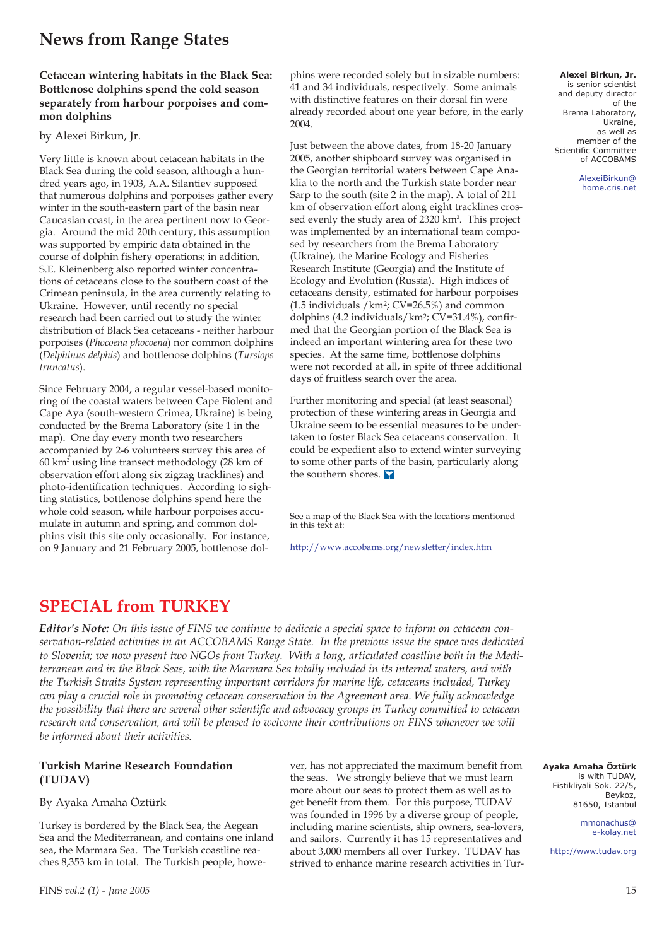# **News from Range States**

## **Cetacean wintering habitats in the Black Sea: Bottlenose dolphins spend the cold season separately from harbour porpoises and common dolphins**

## by Alexei Birkun, Jr.

Very little is known about cetacean habitats in the Black Sea during the cold season, although a hundred years ago, in 1903, A.A. Silantiev supposed that numerous dolphins and porpoises gather every winter in the south-eastern part of the basin near Caucasian coast, in the area pertinent now to Georgia. Around the mid 20th century, this assumption was supported by empiric data obtained in the course of dolphin fishery operations; in addition, S.E. Kleinenberg also reported winter concentrations of cetaceans close to the southern coast of the Crimean peninsula, in the area currently relating to Ukraine. However, until recently no special research had been carried out to study the winter distribution of Black Sea cetaceans - neither harbour porpoises (*Phocoena phocoena*) nor common dolphins (*Delphinus delphis*) and bottlenose dolphins (*Tursiops truncatus*).

Since February 2004, a regular vessel-based monitoring of the coastal waters between Cape Fiolent and Cape Aya (south-western Crimea, Ukraine) is being conducted by the Brema Laboratory (site 1 in the map). One day every month two researchers accompanied by 2-6 volunteers survey this area of 60 km2 using line transect methodology (28 km of observation effort along six zigzag tracklines) and photo-identification techniques. According to sighting statistics, bottlenose dolphins spend here the whole cold season, while harbour porpoises accumulate in autumn and spring, and common dolphins visit this site only occasionally. For instance, on 9 January and 21 February 2005, bottlenose dolphins were recorded solely but in sizable numbers: 41 and 34 individuals, respectively. Some animals with distinctive features on their dorsal fin were already recorded about one year before, in the early 2004.

Just between the above dates, from 18-20 January 2005, another shipboard survey was organised in the Georgian territorial waters between Cape Anaklia to the north and the Turkish state border near Sarp to the south (site 2 in the map). A total of 211 km of observation effort along eight tracklines crossed evenly the study area of 2320 km<sup>2</sup>. This project was implemented by an international team composed by researchers from the Brema Laboratory (Ukraine), the Marine Ecology and Fisheries Research Institute (Georgia) and the Institute of Ecology and Evolution (Russia). High indices of cetaceans density, estimated for harbour porpoises  $(1.5$  individuals /km<sup>2</sup>; CV=26.5%) and common dolphins (4.2 individuals/km2; CV=31.4%), confirmed that the Georgian portion of the Black Sea is indeed an important wintering area for these two species. At the same time, bottlenose dolphins were not recorded at all, in spite of three additional days of fruitless search over the area.

Further monitoring and special (at least seasonal) protection of these wintering areas in Georgia and Ukraine seem to be essential measures to be undertaken to foster Black Sea cetaceans conservation. It could be expedient also to extend winter surveying to some other parts of the basin, particularly along the southern shores.

See a map of the Black Sea with the locations mentioned in this text at:

http://www.accobams.org/newsletter/index.htm

## **SPECIAL from TURKEY**

*Editor's Note: On this issue of FINS we continue to dedicate a special space to inform on cetacean conservation-related activities in an ACCOBAMS Range State. In the previous issue the space was dedicated to Slovenia; we now present two NGOs from Turkey. With a long, articulated coastline both in the Mediterranean and in the Black Seas, with the Marmara Sea totally included in its internal waters, and with the Turkish Straits System representing important corridors for marine life, cetaceans included, Turkey can play a crucial role in promoting cetacean conservation in the Agreement area. We fully acknowledge the possibility that there are several other scientific and advocacy groups in Turkey committed to cetacean research and conservation, and will be pleased to welcome their contributions on FINS whenever we will be informed about their activities.*

## **Turkish Marine Research Foundation (TUDAV)**

## By Ayaka Amaha Öztürk

Turkey is bordered by the Black Sea, the Aegean Sea and the Mediterranean, and contains one inland sea, the Marmara Sea. The Turkish coastline reaches 8,353 km in total. The Turkish people, however, has not appreciated the maximum benefit from the seas. We strongly believe that we must learn more about our seas to protect them as well as to get benefit from them. For this purpose, TUDAV was founded in 1996 by a diverse group of people, including marine scientists, ship owners, sea-lovers, and sailors. Currently it has 15 representatives and about 3,000 members all over Turkey. TUDAV has strived to enhance marine research activities in Tur-

**Alexei Birkun, Jr.**  is senior scientist and deputy director of the Brema Laboratory, Ukraine, as well as member of the Scientific Committee of ACCOBAMS

> AlexeiBirkun@ home.cris.net

**Ayaka Amaha Öztürk**  is with TUDAV, Fistikliyali Sok. 22/5, Beykoz, 81650, Istanbul

> mmonachus@ e-kolay.net

http://www.tudav.org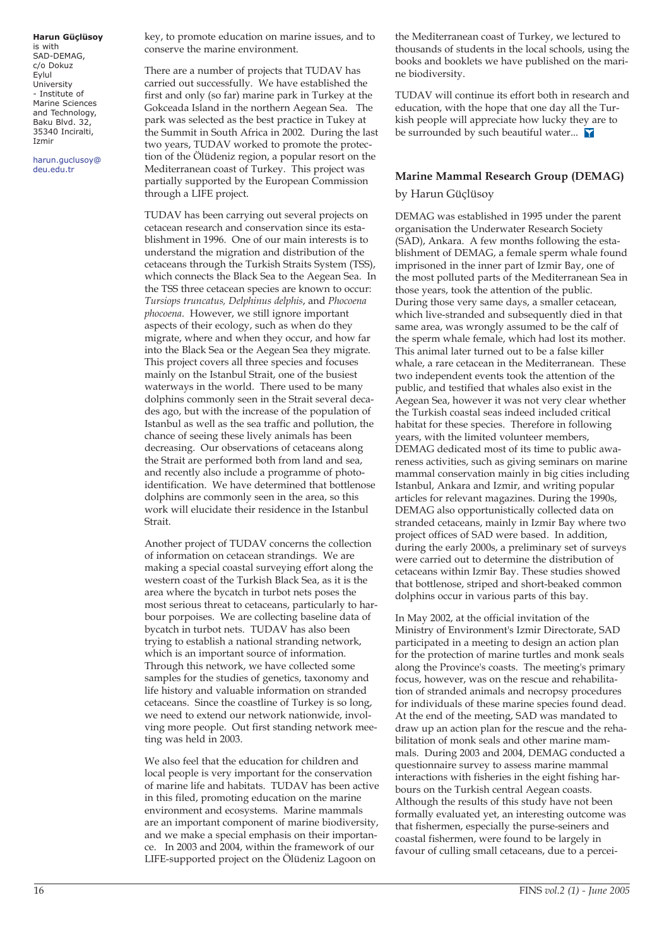## **Harun Güçlüsoy**

is with SAD-DEMAG, c/o Dokuz Eylul University - Institute of Marine Sciences and Technology, Baku Blvd. 32, 35340 Inciralti, Izmir

harun.guclusoy@ deu.edu.tr

key, to promote education on marine issues, and to conserve the marine environment.

There are a number of projects that TUDAV has carried out successfully. We have established the first and only (so far) marine park in Turkey at the Gokceada Island in the northern Aegean Sea. The park was selected as the best practice in Tukey at the Summit in South Africa in 2002. During the last two years, TUDAV worked to promote the protection of the Ölüdeniz region, a popular resort on the Mediterranean coast of Turkey. This project was partially supported by the European Commission through a LIFE project.

TUDAV has been carrying out several projects on cetacean research and conservation since its establishment in 1996. One of our main interests is to understand the migration and distribution of the cetaceans through the Turkish Straits System (TSS), which connects the Black Sea to the Aegean Sea. In the TSS three cetacean species are known to occur: *Tursiops truncatus, Delphinus delphis*, and *Phocoena phocoena*. However, we still ignore important aspects of their ecology, such as when do they migrate, where and when they occur, and how far into the Black Sea or the Aegean Sea they migrate. This project covers all three species and focuses mainly on the Istanbul Strait, one of the busiest waterways in the world. There used to be many dolphins commonly seen in the Strait several decades ago, but with the increase of the population of Istanbul as well as the sea traffic and pollution, the chance of seeing these lively animals has been decreasing. Our observations of cetaceans along the Strait are performed both from land and sea, and recently also include a programme of photoidentification. We have determined that bottlenose dolphins are commonly seen in the area, so this work will elucidate their residence in the Istanbul Strait.

Another project of TUDAV concerns the collection of information on cetacean strandings. We are making a special coastal surveying effort along the western coast of the Turkish Black Sea, as it is the area where the bycatch in turbot nets poses the most serious threat to cetaceans, particularly to harbour porpoises. We are collecting baseline data of bycatch in turbot nets. TUDAV has also been trying to establish a national stranding network, which is an important source of information. Through this network, we have collected some samples for the studies of genetics, taxonomy and life history and valuable information on stranded cetaceans. Since the coastline of Turkey is so long, we need to extend our network nationwide, involving more people. Out first standing network meeting was held in 2003.

We also feel that the education for children and local people is very important for the conservation of marine life and habitats. TUDAV has been active in this filed, promoting education on the marine environment and ecosystems. Marine mammals are an important component of marine biodiversity, and we make a special emphasis on their importance. In 2003 and 2004, within the framework of our LIFE-supported project on the Ölüdeniz Lagoon on

the Mediterranean coast of Turkey, we lectured to thousands of students in the local schools, using the books and booklets we have published on the marine biodiversity.

TUDAV will continue its effort both in research and education, with the hope that one day all the Turkish people will appreciate how lucky they are to be surrounded by such beautiful water...

## **Marine Mammal Research Group (DEMAG)** by Harun Güçlüsoy

DEMAG was established in 1995 under the parent organisation the Underwater Research Society (SAD), Ankara. A few months following the establishment of DEMAG, a female sperm whale found imprisoned in the inner part of Izmir Bay, one of the most polluted parts of the Mediterranean Sea in those years, took the attention of the public. During those very same days, a smaller cetacean, which live-stranded and subsequently died in that same area, was wrongly assumed to be the calf of the sperm whale female, which had lost its mother. This animal later turned out to be a false killer whale, a rare cetacean in the Mediterranean. These two independent events took the attention of the public, and testified that whales also exist in the Aegean Sea, however it was not very clear whether the Turkish coastal seas indeed included critical habitat for these species. Therefore in following years, with the limited volunteer members, DEMAG dedicated most of its time to public awareness activities, such as giving seminars on marine mammal conservation mainly in big cities including Istanbul, Ankara and Izmir, and writing popular articles for relevant magazines. During the 1990s, DEMAG also opportunistically collected data on stranded cetaceans, mainly in Izmir Bay where two project offices of SAD were based. In addition, during the early 2000s, a preliminary set of surveys were carried out to determine the distribution of cetaceans within Izmir Bay. These studies showed that bottlenose, striped and short-beaked common dolphins occur in various parts of this bay.

In May 2002, at the official invitation of the Ministry of Environment's Izmir Directorate, SAD participated in a meeting to design an action plan for the protection of marine turtles and monk seals along the Province's coasts. The meeting's primary focus, however, was on the rescue and rehabilitation of stranded animals and necropsy procedures for individuals of these marine species found dead. At the end of the meeting, SAD was mandated to draw up an action plan for the rescue and the rehabilitation of monk seals and other marine mammals. During 2003 and 2004, DEMAG conducted a questionnaire survey to assess marine mammal interactions with fisheries in the eight fishing harbours on the Turkish central Aegean coasts. Although the results of this study have not been formally evaluated yet, an interesting outcome was that fishermen, especially the purse-seiners and coastal fishermen, were found to be largely in favour of culling small cetaceans, due to a percei-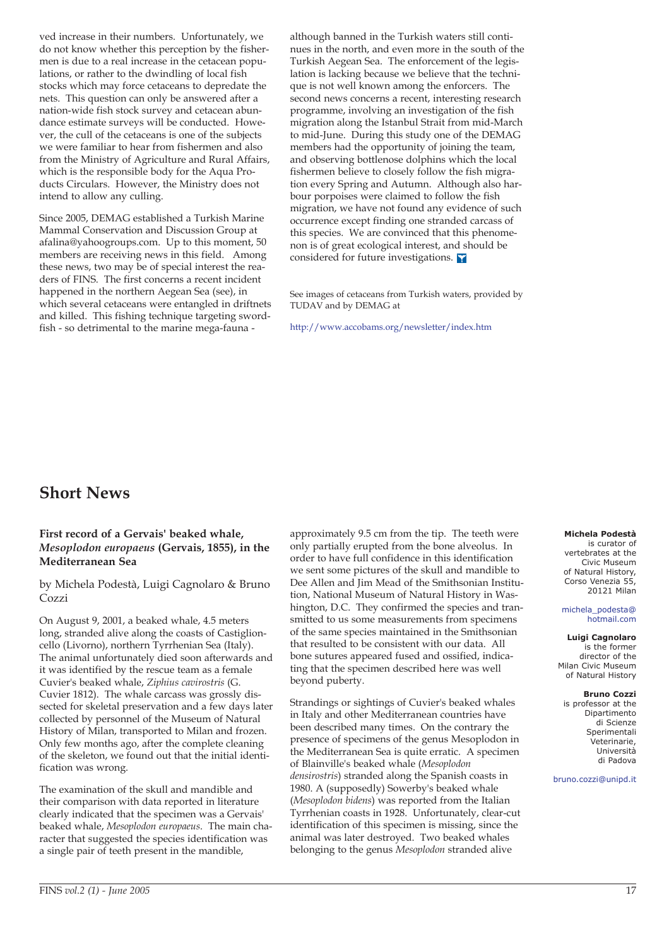ved increase in their numbers. Unfortunately, we do not know whether this perception by the fishermen is due to a real increase in the cetacean populations, or rather to the dwindling of local fish stocks which may force cetaceans to depredate the nets. This question can only be answered after a nation-wide fish stock survey and cetacean abundance estimate surveys will be conducted. However, the cull of the cetaceans is one of the subjects we were familiar to hear from fishermen and also from the Ministry of Agriculture and Rural Affairs, which is the responsible body for the Aqua Products Circulars. However, the Ministry does not intend to allow any culling.

Since 2005, DEMAG established a Turkish Marine Mammal Conservation and Discussion Group at afalina@yahoogroups.com. Up to this moment, 50 members are receiving news in this field. Among these news, two may be of special interest the readers of FINS. The first concerns a recent incident happened in the northern Aegean Sea (see), in which several cetaceans were entangled in driftnets and killed. This fishing technique targeting swordfish - so detrimental to the marine mega-fauna -

although banned in the Turkish waters still continues in the north, and even more in the south of the Turkish Aegean Sea. The enforcement of the legislation is lacking because we believe that the technique is not well known among the enforcers. The second news concerns a recent, interesting research programme, involving an investigation of the fish migration along the Istanbul Strait from mid-March to mid-June. During this study one of the DEMAG members had the opportunity of joining the team, and observing bottlenose dolphins which the local fishermen believe to closely follow the fish migration every Spring and Autumn. Although also harbour porpoises were claimed to follow the fish migration, we have not found any evidence of such occurrence except finding one stranded carcass of this species. We are convinced that this phenomenon is of great ecological interest, and should be considered for future investigations. **Y** 

See images of cetaceans from Turkish waters, provided by TUDAV and by DEMAG at

http://www.accobams.org/newsletter/index.htm

## **Short News**

## **First record of a Gervais' beaked whale,** *Mesoplodon europaeus* **(Gervais, 1855), in the Mediterranean Sea**

by Michela Podestà, Luigi Cagnolaro & Bruno Cozzi

On August 9, 2001, a beaked whale, 4.5 meters long, stranded alive along the coasts of Castiglioncello (Livorno), northern Tyrrhenian Sea (Italy). The animal unfortunately died soon afterwards and it was identified by the rescue team as a female Cuvier's beaked whale, *Ziphius cavirostris* (G. Cuvier 1812). The whale carcass was grossly dissected for skeletal preservation and a few days later collected by personnel of the Museum of Natural History of Milan, transported to Milan and frozen. Only few months ago, after the complete cleaning of the skeleton, we found out that the initial identification was wrong.

The examination of the skull and mandible and their comparison with data reported in literature clearly indicated that the specimen was a Gervais' beaked whale, *Mesoplodon europaeus*. The main character that suggested the species identification was a single pair of teeth present in the mandible,

approximately 9.5 cm from the tip. The teeth were only partially erupted from the bone alveolus. In order to have full confidence in this identification we sent some pictures of the skull and mandible to Dee Allen and Jim Mead of the Smithsonian Institution, National Museum of Natural History in Washington, D.C. They confirmed the species and transmitted to us some measurements from specimens of the same species maintained in the Smithsonian that resulted to be consistent with our data. All bone sutures appeared fused and ossified, indicating that the specimen described here was well beyond puberty.

Strandings or sightings of Cuvier's beaked whales in Italy and other Mediterranean countries have been described many times. On the contrary the presence of specimens of the genus Mesoplodon in the Mediterranean Sea is quite erratic. A specimen of Blainville's beaked whale (*Mesoplodon densirostris*) stranded along the Spanish coasts in 1980. A (supposedly) Sowerby's beaked whale (*Mesoplodon bidens*) was reported from the Italian Tyrrhenian coasts in 1928. Unfortunately, clear-cut identification of this specimen is missing, since the animal was later destroyed. Two beaked whales belonging to the genus *Mesoplodon* stranded alive

### **Michela Podestà**

is curator of vertebrates at the Civic Museum of Natural History, Corso Venezia 55, 20121 Milan

#### michela\_podesta@ hotmail.com

#### **Luigi Cagnolaro**

is the former director of the Milan Civic Museum of Natural History

### **Bruno Cozzi**

is professor at the Dipartimento di Scienze Sperimentali .<br>Veterinarie, Università di Padova

#### bruno.cozzi@unipd.it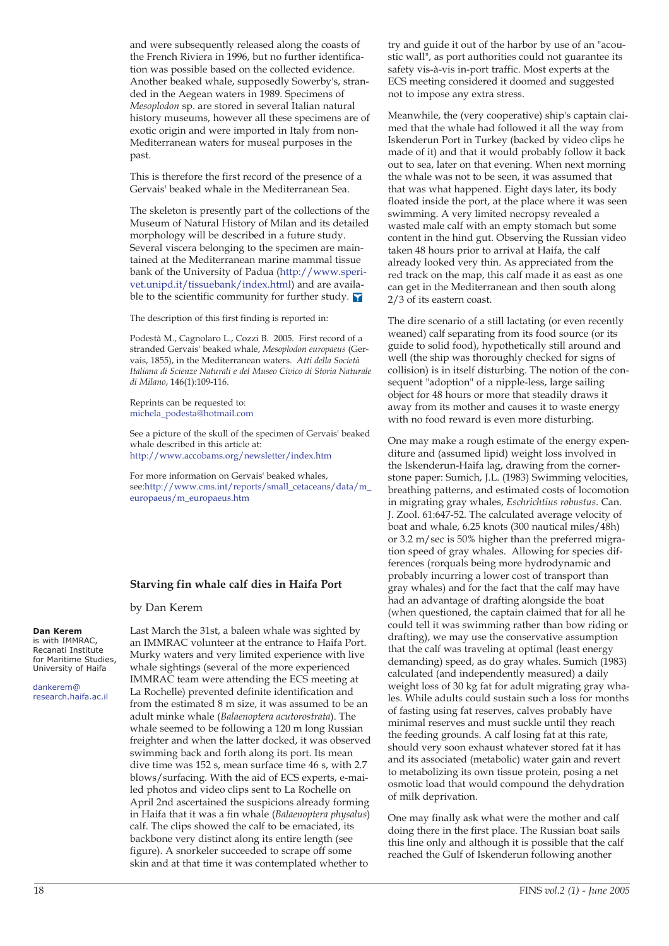and were subsequently released along the coasts of the French Riviera in 1996, but no further identification was possible based on the collected evidence. Another beaked whale, supposedly Sowerby's, stranded in the Aegean waters in 1989. Specimens of *Mesoplodon* sp. are stored in several Italian natural history museums, however all these specimens are of exotic origin and were imported in Italy from non-Mediterranean waters for museal purposes in the past.

This is therefore the first record of the presence of a Gervais' beaked whale in the Mediterranean Sea.

The skeleton is presently part of the collections of the Museum of Natural History of Milan and its detailed morphology will be described in a future study. Several viscera belonging to the specimen are maintained at the Mediterranean marine mammal tissue bank of the University of Padua (http://www.sperivet.unipd.it/tissuebank/index.html) and are available to the scientific community for further study.  $\nabla$ 

The description of this first finding is reported in:

Podestà M., Cagnolaro L., Cozzi B. 2005. First record of a stranded Gervais' beaked whale, *Mesoplodon europaeus* (Gervais, 1855), in the Mediterranean waters. *Atti della Società Italiana di Scienze Naturali e del Museo Civico di Storia Naturale di Milano*, 146(1):109-116.

Reprints can be requested to: michela\_podesta@hotmail.com

See a picture of the skull of the specimen of Gervais' beaked whale described in this article at: http://www.accobams.org/newsletter/index.htm

For more information on Gervais' beaked whales, see:http://www.cms.int/reports/small\_cetaceans/data/m\_ europaeus/m\_europaeus.htm

## **Starving fin whale calf dies in Haifa Port**

Last March the 31st, a baleen whale was sighted by an IMMRAC volunteer at the entrance to Haifa Port. Murky waters and very limited experience with live whale sightings (several of the more experienced IMMRAC team were attending the ECS meeting at La Rochelle) prevented definite identification and from the estimated 8 m size, it was assumed to be an adult minke whale (*Balaenoptera acutorostrata*). The whale seemed to be following a 120 m long Russian freighter and when the latter docked, it was observed swimming back and forth along its port. Its mean dive time was 152 s, mean surface time 46 s, with 2.7 blows/surfacing. With the aid of ECS experts, e-mailed photos and video clips sent to La Rochelle on April 2nd ascertained the suspicions already forming in Haifa that it was a fin whale (*Balaenoptera physalus*) calf. The clips showed the calf to be emaciated, its backbone very distinct along its entire length (see figure). A snorkeler succeeded to scrape off some skin and at that time it was contemplated whether to

by Dan Kerem

**Dan Kerem**  is with IMMRAC,

Recanati Institute for Maritime Studies, University of Haifa

dankerem@ research.haifa.ac.il try and guide it out of the harbor by use of an "acoustic wall", as port authorities could not guarantee its safety vis-à-vis in-port traffic. Most experts at the ECS meeting considered it doomed and suggested not to impose any extra stress.

Meanwhile, the (very cooperative) ship's captain claimed that the whale had followed it all the way from Iskenderun Port in Turkey (backed by video clips he made of it) and that it would probably follow it back out to sea, later on that evening. When next morning the whale was not to be seen, it was assumed that that was what happened. Eight days later, its body floated inside the port, at the place where it was seen swimming. A very limited necropsy revealed a wasted male calf with an empty stomach but some content in the hind gut. Observing the Russian video taken 48 hours prior to arrival at Haifa, the calf already looked very thin. As appreciated from the red track on the map, this calf made it as east as one can get in the Mediterranean and then south along 2/3 of its eastern coast.

The dire scenario of a still lactating (or even recently weaned) calf separating from its food source (or its guide to solid food), hypothetically still around and well (the ship was thoroughly checked for signs of collision) is in itself disturbing. The notion of the consequent "adoption" of a nipple-less, large sailing object for 48 hours or more that steadily draws it away from its mother and causes it to waste energy with no food reward is even more disturbing.

One may make a rough estimate of the energy expenditure and (assumed lipid) weight loss involved in the Iskenderun-Haifa lag, drawing from the cornerstone paper: Sumich, J.L. (1983) Swimming velocities, breathing patterns, and estimated costs of locomotion in migrating gray whales, *Eschrichtius robustus*. Can. J. Zool. 61:647-52. The calculated average velocity of boat and whale, 6.25 knots (300 nautical miles/48h) or 3.2 m/sec is 50% higher than the preferred migration speed of gray whales. Allowing for species differences (rorquals being more hydrodynamic and probably incurring a lower cost of transport than gray whales) and for the fact that the calf may have had an advantage of drafting alongside the boat (when questioned, the captain claimed that for all he could tell it was swimming rather than bow riding or drafting), we may use the conservative assumption that the calf was traveling at optimal (least energy demanding) speed, as do gray whales. Sumich (1983) calculated (and independently measured) a daily weight loss of 30 kg fat for adult migrating gray whales. While adults could sustain such a loss for months of fasting using fat reserves, calves probably have minimal reserves and must suckle until they reach the feeding grounds. A calf losing fat at this rate, should very soon exhaust whatever stored fat it has and its associated (metabolic) water gain and revert to metabolizing its own tissue protein, posing a net osmotic load that would compound the dehydration of milk deprivation.

One may finally ask what were the mother and calf doing there in the first place. The Russian boat sails this line only and although it is possible that the calf reached the Gulf of Iskenderun following another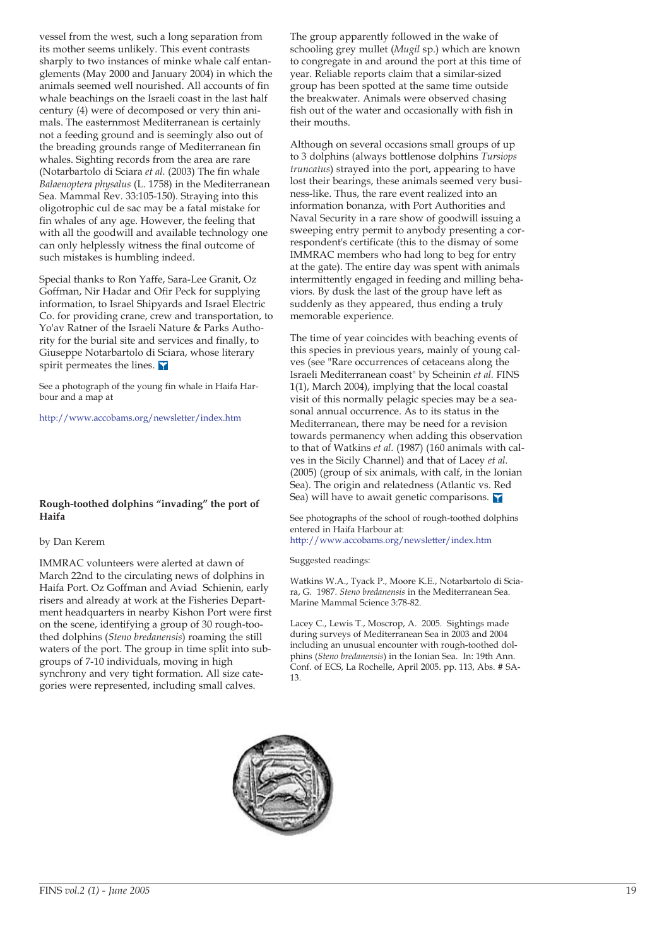vessel from the west, such a long separation from its mother seems unlikely. This event contrasts sharply to two instances of minke whale calf entanglements (May 2000 and January 2004) in which the animals seemed well nourished. All accounts of fin whale beachings on the Israeli coast in the last half century (4) were of decomposed or very thin animals. The easternmost Mediterranean is certainly not a feeding ground and is seemingly also out of the breading grounds range of Mediterranean fin whales. Sighting records from the area are rare (Notarbartolo di Sciara *et al.* (2003) The fin whale *Balaenoptera physalus* (L. 1758) in the Mediterranean Sea. Mammal Rev. 33:105-150). Straying into this oligotrophic cul de sac may be a fatal mistake for fin whales of any age. However, the feeling that with all the goodwill and available technology one can only helplessly witness the final outcome of such mistakes is humbling indeed.

Special thanks to Ron Yaffe, Sara-Lee Granit, Oz Goffman, Nir Hadar and Ofir Peck for supplying information, to Israel Shipyards and Israel Electric Co. for providing crane, crew and transportation, to Yo'av Ratner of the Israeli Nature & Parks Authority for the burial site and services and finally, to Giuseppe Notarbartolo di Sciara, whose literary spirit permeates the lines.

See a photograph of the young fin whale in Haifa Harbour and a map at

http://www.accobams.org/newsletter/index.htm

## **Rough-toothed dolphins "invading" the port of Haifa**

### by Dan Kerem

IMMRAC volunteers were alerted at dawn of March 22nd to the circulating news of dolphins in Haifa Port. Oz Goffman and Aviad Schienin, early risers and already at work at the Fisheries Department headquarters in nearby Kishon Port were first on the scene, identifying a group of 30 rough-toothed dolphins (*Steno bredanensis*) roaming the still waters of the port. The group in time split into subgroups of 7-10 individuals, moving in high synchrony and very tight formation. All size categories were represented, including small calves.

The group apparently followed in the wake of schooling grey mullet (*Mugil* sp.) which are known to congregate in and around the port at this time of year. Reliable reports claim that a similar-sized group has been spotted at the same time outside the breakwater. Animals were observed chasing fish out of the water and occasionally with fish in their mouths.

Although on several occasions small groups of up to 3 dolphins (always bottlenose dolphins *Tursiops truncatus*) strayed into the port, appearing to have lost their bearings, these animals seemed very business-like. Thus, the rare event realized into an information bonanza, with Port Authorities and Naval Security in a rare show of goodwill issuing a sweeping entry permit to anybody presenting a correspondent's certificate (this to the dismay of some IMMRAC members who had long to beg for entry at the gate). The entire day was spent with animals intermittently engaged in feeding and milling behaviors. By dusk the last of the group have left as suddenly as they appeared, thus ending a truly memorable experience.

The time of year coincides with beaching events of this species in previous years, mainly of young calves (see "Rare occurrences of cetaceans along the Israeli Mediterranean coast" by Scheinin *et al.* FINS 1(1), March 2004), implying that the local coastal visit of this normally pelagic species may be a seasonal annual occurrence. As to its status in the Mediterranean, there may be need for a revision towards permanency when adding this observation to that of Watkins *et al.* (1987) (160 animals with calves in the Sicily Channel) and that of Lacey *et al.* (2005) (group of six animals, with calf, in the Ionian Sea). The origin and relatedness (Atlantic vs. Red Sea) will have to await genetic comparisons.

See photographs of the school of rough-toothed dolphins entered in Haifa Harbour at: http://www.accobams.org/newsletter/index.htm

### Suggested readings:

Watkins W.A., Tyack P., Moore K.E., Notarbartolo di Sciara, G. 1987. *Steno bredanensis* in the Mediterranean Sea. Marine Mammal Science 3:78-82.

Lacey C., Lewis T., Moscrop, A. 2005. Sightings made during surveys of Mediterranean Sea in 2003 and 2004 including an unusual encounter with rough-toothed dolphins (*Steno bredanensis*) in the Ionian Sea. In: 19th Ann. Conf. of ECS, La Rochelle, April 2005. pp. 113, Abs. # SA-13.

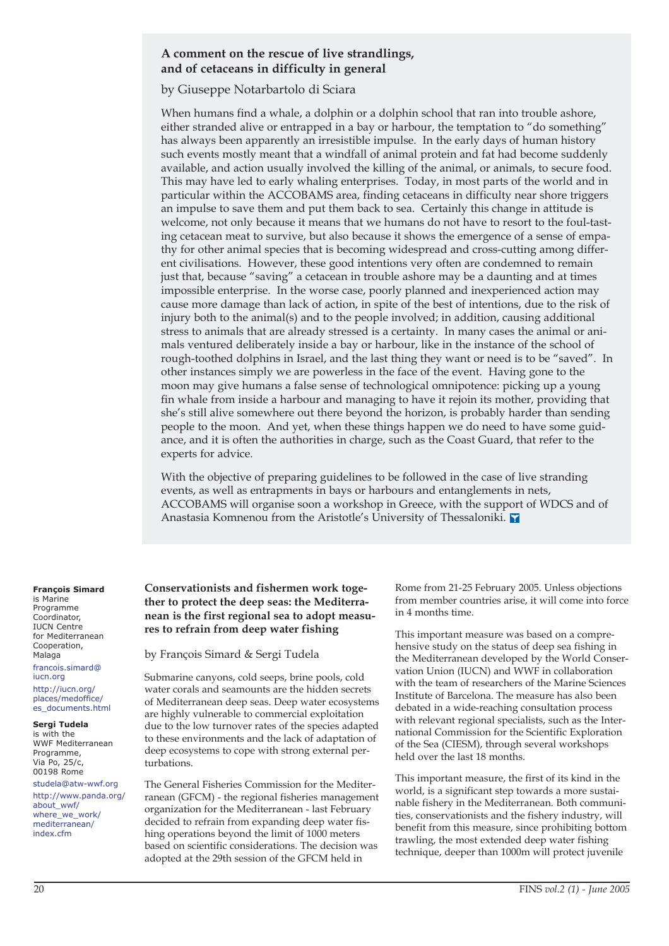## **A comment on the rescue of live strandlings, and of cetaceans in difficulty in general**

by Giuseppe Notarbartolo di Sciara

When humans find a whale, a dolphin or a dolphin school that ran into trouble ashore, either stranded alive or entrapped in a bay or harbour, the temptation to "do something" has always been apparently an irresistible impulse. In the early days of human history such events mostly meant that a windfall of animal protein and fat had become suddenly available, and action usually involved the killing of the animal, or animals, to secure food. This may have led to early whaling enterprises. Today, in most parts of the world and in particular within the ACCOBAMS area, finding cetaceans in difficulty near shore triggers an impulse to save them and put them back to sea. Certainly this change in attitude is welcome, not only because it means that we humans do not have to resort to the foul-tasting cetacean meat to survive, but also because it shows the emergence of a sense of empathy for other animal species that is becoming widespread and cross-cutting among different civilisations. However, these good intentions very often are condemned to remain just that, because "saving" a cetacean in trouble ashore may be a daunting and at times impossible enterprise. In the worse case, poorly planned and inexperienced action may cause more damage than lack of action, in spite of the best of intentions, due to the risk of injury both to the animal(s) and to the people involved; in addition, causing additional stress to animals that are already stressed is a certainty. In many cases the animal or animals ventured deliberately inside a bay or harbour, like in the instance of the school of rough-toothed dolphins in Israel, and the last thing they want or need is to be "saved". In other instances simply we are powerless in the face of the event. Having gone to the moon may give humans a false sense of technological omnipotence: picking up a young fin whale from inside a harbour and managing to have it rejoin its mother, providing that she's still alive somewhere out there beyond the horizon, is probably harder than sending people to the moon. And yet, when these things happen we do need to have some guidance, and it is often the authorities in charge, such as the Coast Guard, that refer to the experts for advice.

With the objective of preparing guidelines to be followed in the case of live stranding events, as well as entrapments in bays or harbours and entanglements in nets, ACCOBAMS will organise soon a workshop in Greece, with the support of WDCS and of Anastasia Komnenou from the Aristotle's University of Thessaloniki.

### **François Simard**  is Marine

Programme Coordinator, IUCN Centre for Mediterranean Cooperation, Malaga francois.simard@ iucn.org http://iucn.org/ places/medoffice/ es\_documents.html

### **Sergi Tudela**

is with the WWF Mediterranean Programme, Via Po, 25/c, 00198 Rome

studela@atw-wwf.org http://www.panda.org/ about\_wwf/ where\_we\_work/ mediterranean/ index cfm

## **Conservationists and fishermen work together to protect the deep seas: the Mediterranean is the first regional sea to adopt measures to refrain from deep water fishing**

by François Simard & Sergi Tudela

Submarine canyons, cold seeps, brine pools, cold water corals and seamounts are the hidden secrets of Mediterranean deep seas. Deep water ecosystems are highly vulnerable to commercial exploitation due to the low turnover rates of the species adapted to these environments and the lack of adaptation of deep ecosystems to cope with strong external perturbations.

The General Fisheries Commission for the Mediterranean (GFCM) - the regional fisheries management organization for the Mediterranean - last February decided to refrain from expanding deep water fishing operations beyond the limit of 1000 meters based on scientific considerations. The decision was adopted at the 29th session of the GFCM held in

Rome from 21-25 February 2005. Unless objections from member countries arise, it will come into force in 4 months time.

This important measure was based on a comprehensive study on the status of deep sea fishing in the Mediterranean developed by the World Conservation Union (IUCN) and WWF in collaboration with the team of researchers of the Marine Sciences Institute of Barcelona. The measure has also been debated in a wide-reaching consultation process with relevant regional specialists, such as the International Commission for the Scientific Exploration of the Sea (CIESM), through several workshops held over the last 18 months.

This important measure, the first of its kind in the world, is a significant step towards a more sustainable fishery in the Mediterranean. Both communities, conservationists and the fishery industry, will benefit from this measure, since prohibiting bottom trawling, the most extended deep water fishing technique, deeper than 1000m will protect juvenile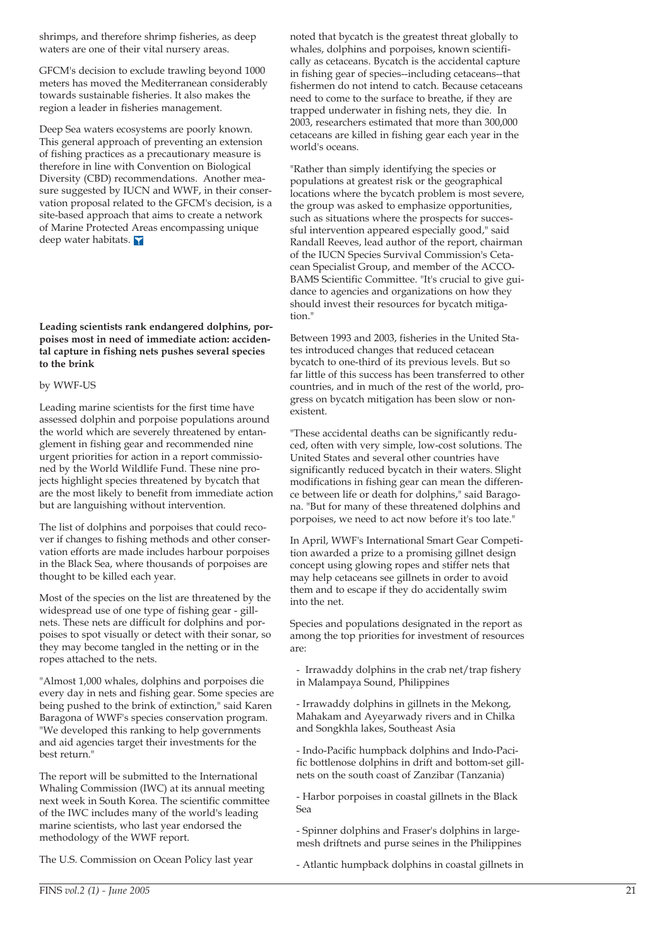shrimps, and therefore shrimp fisheries, as deep waters are one of their vital nursery areas.

GFCM's decision to exclude trawling beyond 1000 meters has moved the Mediterranean considerably towards sustainable fisheries. It also makes the region a leader in fisheries management.

Deep Sea waters ecosystems are poorly known. This general approach of preventing an extension of fishing practices as a precautionary measure is therefore in line with Convention on Biological Diversity (CBD) recommendations. Another measure suggested by IUCN and WWF, in their conservation proposal related to the GFCM's decision, is a site-based approach that aims to create a network of Marine Protected Areas encompassing unique deep water habitats.

## **Leading scientists rank endangered dolphins, porpoises most in need of immediate action: accidental capture in fishing nets pushes several species to the brink**

### by WWF-US

Leading marine scientists for the first time have assessed dolphin and porpoise populations around the world which are severely threatened by entanglement in fishing gear and recommended nine urgent priorities for action in a report commissioned by the World Wildlife Fund. These nine projects highlight species threatened by bycatch that are the most likely to benefit from immediate action but are languishing without intervention.

The list of dolphins and porpoises that could recover if changes to fishing methods and other conservation efforts are made includes harbour porpoises in the Black Sea, where thousands of porpoises are thought to be killed each year.

Most of the species on the list are threatened by the widespread use of one type of fishing gear - gillnets. These nets are difficult for dolphins and porpoises to spot visually or detect with their sonar, so they may become tangled in the netting or in the ropes attached to the nets.

"Almost 1,000 whales, dolphins and porpoises die every day in nets and fishing gear. Some species are being pushed to the brink of extinction," said Karen Baragona of WWF's species conservation program. "We developed this ranking to help governments and aid agencies target their investments for the best return."

The report will be submitted to the International Whaling Commission (IWC) at its annual meeting next week in South Korea. The scientific committee of the IWC includes many of the world's leading marine scientists, who last year endorsed the methodology of the WWF report.

The U.S. Commission on Ocean Policy last year

noted that bycatch is the greatest threat globally to whales, dolphins and porpoises, known scientifically as cetaceans. Bycatch is the accidental capture in fishing gear of species--including cetaceans--that fishermen do not intend to catch. Because cetaceans need to come to the surface to breathe, if they are trapped underwater in fishing nets, they die. In 2003, researchers estimated that more than 300,000 cetaceans are killed in fishing gear each year in the world's oceans.

"Rather than simply identifying the species or populations at greatest risk or the geographical locations where the bycatch problem is most severe, the group was asked to emphasize opportunities, such as situations where the prospects for successful intervention appeared especially good," said Randall Reeves, lead author of the report, chairman of the IUCN Species Survival Commission's Cetacean Specialist Group, and member of the ACCO-BAMS Scientific Committee. "It's crucial to give guidance to agencies and organizations on how they should invest their resources for bycatch mitigation."

Between 1993 and 2003, fisheries in the United States introduced changes that reduced cetacean bycatch to one-third of its previous levels. But so far little of this success has been transferred to other countries, and in much of the rest of the world, progress on bycatch mitigation has been slow or nonexistent.

"These accidental deaths can be significantly reduced, often with very simple, low-cost solutions. The United States and several other countries have significantly reduced bycatch in their waters. Slight modifications in fishing gear can mean the difference between life or death for dolphins," said Baragona. "But for many of these threatened dolphins and porpoises, we need to act now before it's too late."

In April, WWF's International Smart Gear Competition awarded a prize to a promising gillnet design concept using glowing ropes and stiffer nets that may help cetaceans see gillnets in order to avoid them and to escape if they do accidentally swim into the net.

Species and populations designated in the report as among the top priorities for investment of resources are:

- Irrawaddy dolphins in the crab net/trap fishery in Malampaya Sound, Philippines

- Irrawaddy dolphins in gillnets in the Mekong, Mahakam and Ayeyarwady rivers and in Chilka and Songkhla lakes, Southeast Asia

- Indo-Pacific humpback dolphins and Indo-Pacific bottlenose dolphins in drift and bottom-set gillnets on the south coast of Zanzibar (Tanzania)

- Harbor porpoises in coastal gillnets in the Black Sea

- Spinner dolphins and Fraser's dolphins in largemesh driftnets and purse seines in the Philippines

- Atlantic humpback dolphins in coastal gillnets in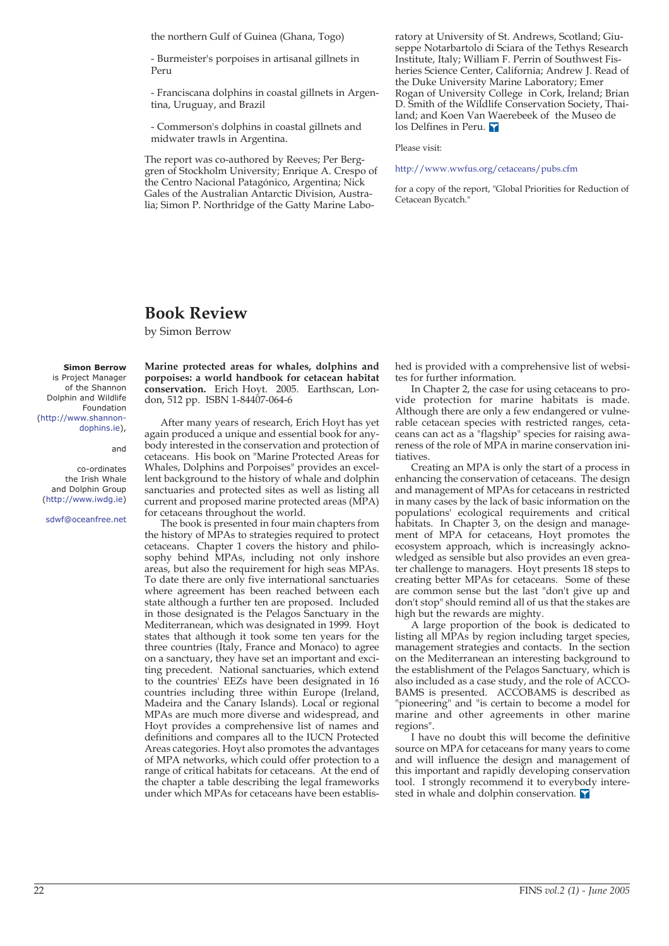the northern Gulf of Guinea (Ghana, Togo)

- Burmeister's porpoises in artisanal gillnets in Peru

- Franciscana dolphins in coastal gillnets in Argentina, Uruguay, and Brazil

- Commerson's dolphins in coastal gillnets and midwater trawls in Argentina.

The report was co-authored by Reeves; Per Berggren of Stockholm University; Enrique A. Crespo of the Centro Nacional Patagónico, Argentina; Nick Gales of the Australian Antarctic Division, Australia; Simon P. Northridge of the Gatty Marine Laboratory at University of St. Andrews, Scotland; Giuseppe Notarbartolo di Sciara of the Tethys Research Institute, Italy; William F. Perrin of Southwest Fisheries Science Center, California; Andrew J. Read of the Duke University Marine Laboratory; Emer Rogan of University College in Cork, Ireland; Brian D. Smith of the Wildlife Conservation Society, Thailand; and Koen Van Waerebeek of the Museo de los Delfines in Peru.

Please visit:

#### http://www.wwfus.org/cetaceans/pubs.cfm

for a copy of the report, "Global Priorities for Reduction of Cetacean Bycatch."

## **Book Review**

by Simon Berrow

#### **Simon Berrow**

is Project Manager of the Shannon Dolphin and Wildlife Foundation (http://www.shannondophins.ie),

and

co-ordinates the Irish Whale and Dolphin Group (http://www.iwdg.ie)

sdwf@oceanfree.net

**Marine protected areas for whales, dolphins and porpoises: a world handbook for cetacean habitat conservation.** Erich Hoyt. 2005. Earthscan, London, 512 pp. ISBN 1-84407-064-6

After many years of research, Erich Hoyt has yet again produced a unique and essential book for anybody interested in the conservation and protection of cetaceans. His book on "Marine Protected Areas for Whales, Dolphins and Porpoises" provides an excellent background to the history of whale and dolphin sanctuaries and protected sites as well as listing all current and proposed marine protected areas (MPA) for cetaceans throughout the world.

The book is presented in four main chapters from the history of MPAs to strategies required to protect cetaceans. Chapter 1 covers the history and philosophy behind MPAs, including not only inshore areas, but also the requirement for high seas MPAs. To date there are only five international sanctuaries where agreement has been reached between each state although a further ten are proposed. Included in those designated is the Pelagos Sanctuary in the Mediterranean, which was designated in 1999. Hoyt states that although it took some ten years for the three countries (Italy, France and Monaco) to agree on a sanctuary, they have set an important and exciting precedent. National sanctuaries, which extend to the countries' EEZs have been designated in 16 countries including three within Europe (Ireland, Madeira and the Canary Islands). Local or regional MPAs are much more diverse and widespread, and Hoyt provides a comprehensive list of names and definitions and compares all to the IUCN Protected Areas categories. Hoyt also promotes the advantages of MPA networks, which could offer protection to a range of critical habitats for cetaceans. At the end of the chapter a table describing the legal frameworks under which MPAs for cetaceans have been established is provided with a comprehensive list of websites for further information.

In Chapter 2, the case for using cetaceans to provide protection for marine habitats is made. Although there are only a few endangered or vulnerable cetacean species with restricted ranges, cetaceans can act as a "flagship" species for raising awareness of the role of MPA in marine conservation initiatives.

Creating an MPA is only the start of a process in enhancing the conservation of cetaceans. The design and management of MPAs for cetaceans in restricted in many cases by the lack of basic information on the populations' ecological requirements and critical habitats. In Chapter 3, on the design and management of MPA for cetaceans, Hoyt promotes the ecosystem approach, which is increasingly acknowledged as sensible but also provides an even greater challenge to managers. Hoyt presents 18 steps to creating better MPAs for cetaceans. Some of these are common sense but the last "don't give up and don't stop" should remind all of us that the stakes are high but the rewards are mighty.

A large proportion of the book is dedicated to listing all MPAs by region including target species, management strategies and contacts. In the section on the Mediterranean an interesting background to the establishment of the Pelagos Sanctuary, which is also included as a case study, and the role of ACCO-BAMS is presented. ACCOBAMS is described as "pioneering" and "is certain to become a model for marine and other agreements in other marine regions".

I have no doubt this will become the definitive source on MPA for cetaceans for many years to come and will influence the design and management of this important and rapidly developing conservation tool. I strongly recommend it to everybody interested in whale and dolphin conservation.